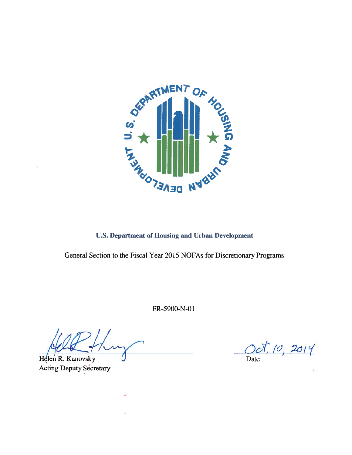

**U.S. Department of Housing and Urban Development** 

General Section to the Fiscal Year 2015 NOFAs for Discretionary Programs

FR-5900-N-01

Helen R. Kanovsky Acting Deputy Secretary

Oct. 10, 2014 Date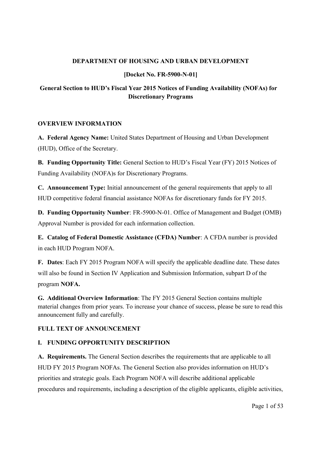## **DEPARTMENT OF HOUSING AND URBAN DEVELOPMENT**

## **[Docket No. FR-5900-N-01]**

# **General Section to HUD's Fiscal Year 2015 Notices of Funding Availability (NOFAs) for Discretionary Programs**

## **OVERVIEW INFORMATION**

**A. Federal Agency Name:** United States Department of Housing and Urban Development (HUD), Office of the Secretary.

**B. Funding Opportunity Title:** General Section to HUD's Fiscal Year (FY) 2015 Notices of Funding Availability (NOFA)s for Discretionary Programs.

**C. Announcement Type:** Initial announcement of the general requirements that apply to all HUD competitive federal financial assistance NOFAs for discretionary funds for FY 2015.

**D. Funding Opportunity Number**: FR-5900-N-01. Office of Management and Budget (OMB) Approval Number is provided for each information collection.

**E. Catalog of Federal Domestic Assistance (CFDA) Number**: A CFDA number is provided in each HUD Program NOFA.

**F. Dates**: Each FY 2015 Program NOFA will specify the applicable deadline date. These dates will also be found in Section IV Application and Submission Information, subpart D of the program **NOFA.**

**G. Additional Overview Information**: The FY 2015 General Section contains multiple material changes from prior years. To increase your chance of success, please be sure to read this announcement fully and carefully.

## **FULL TEXT OF ANNOUNCEMENT**

## **I. FUNDING OPPORTUNITY DESCRIPTION**

**A. Requirements.** The General Section describes the requirements that are applicable to all HUD FY 2015 Program NOFAs. The General Section also provides information on HUD's priorities and strategic goals. Each Program NOFA will describe additional applicable procedures and requirements, including a description of the eligible applicants, eligible activities,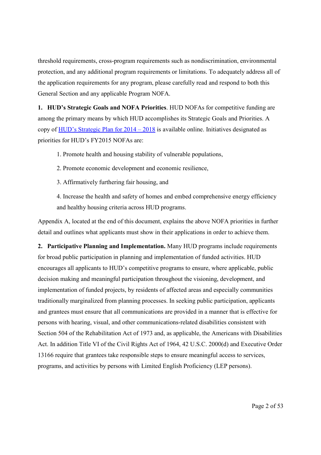threshold requirements, cross-program requirements such as nondiscrimination, environmental protection, and any additional program requirements or limitations. To adequately address all of the application requirements for any program, please carefully read and respond to both this General Section and any applicable Program NOFA.

**1. HUD's Strategic Goals and NOFA Priorities**. HUD NOFAs for competitive funding are among the primary means by which HUD accomplishes its Strategic Goals and Priorities. A copy of HUD's [Strategic](http://portal.hud.gov/hudportal/documents/huddoc?id=hudstrategicplan2014-2018.pdf) Plan for 2014 – 2018 is available online. Initiatives designated as priorities for HUD's FY2015 NOFAs are:

1. Promote health and housing stability of vulnerable populations,

2. Promote economic development and economic resilience,

3. Affirmatively furthering fair housing, and

4. Increase the health and safety of homes and embed comprehensive energy efficiency and healthy housing criteria across HUD programs.

Appendix A, located at the end of this document, explains the above NOFA priorities in further detail and outlines what applicants must show in their applications in order to achieve them.

**2. Participative Planning and Implementation.** Many HUD programs include requirements for broad public participation in planning and implementation of funded activities. HUD encourages all applicants to HUD's competitive programs to ensure, where applicable, public decision making and meaningful participation throughout the visioning, development, and implementation of funded projects, by residents of affected areas and especially communities traditionally marginalized from planning processes. In seeking public participation, applicants and grantees must ensure that all communications are provided in a manner that is effective for persons with hearing, visual, and other communications-related disabilities consistent with Section 504 of the Rehabilitation Act of 1973 and, as applicable, the Americans with Disabilities Act. In addition Title VI of the Civil Rights Act of 1964, 42 U.S.C. 2000(d) and Executive Order 13166 require that grantees take responsible steps to ensure meaningful access to services, programs, and activities by persons with Limited English Proficiency (LEP persons).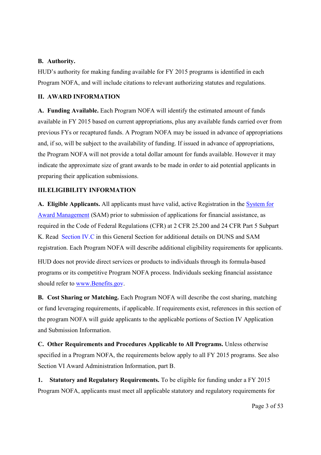## **B. Authority.**

HUD's authority for making funding available for FY 2015 programs is identified in each Program NOFA, and will include citations to relevant authorizing statutes and regulations.

#### **II. AWARD INFORMATION**

**A. Funding Available.** Each Program NOFA will identify the estimated amount of funds available in FY 2015 based on current appropriations, plus any available funds carried over from previous FYs or recaptured funds. A Program NOFA may be issued in advance of appropriations and, if so, will be subject to the availability of funding. If issued in advance of appropriations, the Program NOFA will not provide a total dollar amount for funds available. However it may indicate the approximate size of grant awards to be made in order to aid potential applicants in preparing their application submissions.

## **III.ELIGIBILITY INFORMATION**

**A. Eligible Applicants.** All applicants must have valid, active Registration in the [System for](http://www.sam.gov/) [Award Management](http://www.sam.gov/) (SAM) prior to submission of applications for financial assistance, as required in the Code of Federal Regulations (CFR) at 2 CFR 25.200 and 24 CFR Part 5 Subpart K. Read Section IV.C in this General Section for additional details on DUNS and SAM registration. Each Program NOFA will describe additional eligibility requirements for applicants.

HUD does not provide direct services or products to individuals through its formula-based programs or its competitive Program NOFA process. Individuals seeking financial assistance should refer to [www.Benefits.gov.](http://www.benefits.gov/)

**B. Cost Sharing or Matching.** Each Program NOFA will describe the cost sharing, matching or fund leveraging requirements, if applicable. If requirements exist, references in this section of the program NOFA will guide applicants to the applicable portions of Section IV Application and Submission Information.

**C. Other Requirements and Procedures Applicable to All Programs.** Unless otherwise specified in a Program NOFA, the requirements below apply to all FY 2015 programs. See also Section VI Award Administration Information, part B.

**1. Statutory and Regulatory Requirements.** To be eligible for funding under a FY 2015 Program NOFA, applicants must meet all applicable statutory and regulatory requirements for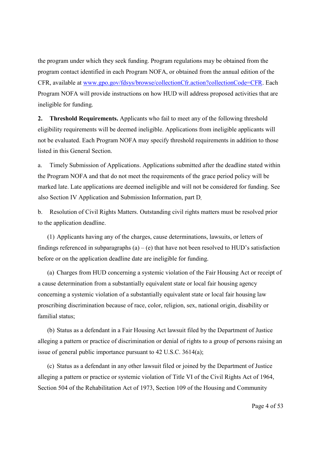the program under which they seek funding. Program regulations may be obtained from the program contact identified in each Program NOFA, or obtained from the annual edition of the CFR, available at www.gpo.gov/fdsys/browse/collectionCfr.action?collectionCode=CFR. Each Program NOFA will provide instructions on how HUD will address proposed activities that are ineligible for funding.

**2. Threshold Requirements.** Applicants who fail to meet any of the following threshold eligibility requirements will be deemed ineligible. Applications from ineligible applicants will not be evaluated. Each Program NOFA may specify threshold requirements in addition to those listed in this General Section.

a. Timely Submission of Applications. Applications submitted after the deadline stated within the Program NOFA and that do not meet the requirements of the grace period policy will be marked late. Late applications are deemed ineligible and will not be considered for funding. See also Section IV Application and Submission Information, part D.

b. Resolution of Civil Rights Matters. Outstanding civil rights matters must be resolved prior to the application deadline.

(1) Applicants having any of the charges, cause determinations, lawsuits, or letters of findings referenced in subparagraphs (a) – (e) that have not been resolved to HUD's satisfaction before or on the application deadline date are ineligible for funding.

(a) Charges from HUD concerning a systemic violation of the Fair Housing Act or receipt of a cause determination from a substantially equivalent state or local fair housing agency concerning a systemic violation of a substantially equivalent state or local fair housing law proscribing discrimination because of race, color, religion, sex, national origin, disability or familial status;

(b) Status as a defendant in a Fair Housing Act lawsuit filed by the Department of Justice alleging a pattern or practice of discrimination or denial of rights to a group of persons raising an issue of general public importance pursuant to 42 U.S.C. 3614(a);

(c) Status as a defendant in any other lawsuit filed or joined by the Department of Justice alleging a pattern or practice or systemic violation of Title VI of the Civil Rights Act of 1964, Section 504 of the Rehabilitation Act of 1973, Section 109 of the Housing and Community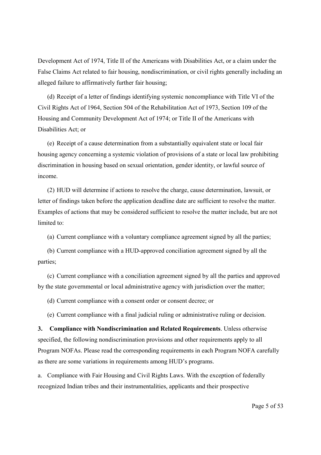Development Act of 1974, Title II of the Americans with Disabilities Act, or a claim under the False Claims Act related to fair housing, nondiscrimination, or civil rights generally including an alleged failure to affirmatively further fair housing;

(d) Receipt of a letter of findings identifying systemic noncompliance with Title VI of the Civil Rights Act of 1964, Section 504 of the Rehabilitation Act of 1973, Section 109 of the Housing and Community Development Act of 1974; or Title II of the Americans with Disabilities Act; or

(e) Receipt of a cause determination from a substantially equivalent state or local fair housing agency concerning a systemic violation of provisions of a state or local law prohibiting discrimination in housing based on sexual orientation, gender identity, or lawful source of income.

(2) HUD will determine if actions to resolve the charge, cause determination, lawsuit, or letter of findings taken before the application deadline date are sufficient to resolve the matter. Examples of actions that may be considered sufficient to resolve the matter include, but are not limited to:

(a) Current compliance with a voluntary compliance agreement signed by all the parties;

(b) Current compliance with a HUD-approved conciliation agreement signed by all the parties;

(c) Current compliance with a conciliation agreement signed by all the parties and approved by the state governmental or local administrative agency with jurisdiction over the matter;

(d) Current compliance with a consent order or consent decree; or

(e) Current compliance with a final judicial ruling or administrative ruling or decision.

**3. Compliance with Nondiscrimination and Related Requirements**. Unless otherwise specified, the following nondiscrimination provisions and other requirements apply to all Program NOFAs. Please read the corresponding requirements in each Program NOFA carefully as there are some variations in requirements among HUD's programs.

a. Compliance with Fair Housing and Civil Rights Laws. With the exception of federally recognized Indian tribes and their instrumentalities, applicants and their prospective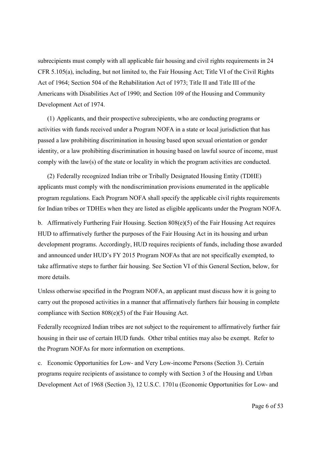subrecipients must comply with all applicable fair housing and civil rights requirements in 24 CFR 5.105(a), including, but not limited to, the Fair Housing Act; Title VI of the Civil Rights Act of 1964; Section 504 of the Rehabilitation Act of 1973; Title II and Title III of the Americans with Disabilities Act of 1990; and Section 109 of the Housing and Community Development Act of 1974.

(1) Applicants, and their prospective subrecipients, who are conducting programs or activities with funds received under a Program NOFA in a state or local jurisdiction that has passed a law prohibiting discrimination in housing based upon sexual orientation or gender identity, or a law prohibiting discrimination in housing based on lawful source of income, must comply with the law(s) of the state or locality in which the program activities are conducted.

(2) Federally recognized Indian tribe or Tribally Designated Housing Entity (TDHE) applicants must comply with the nondiscrimination provisions enumerated in the applicable program regulations. Each Program NOFA shall specify the applicable civil rights requirements for Indian tribes or TDHEs when they are listed as eligible applicants under the Program NOFA.

b. Affirmatively Furthering Fair Housing. Section 808(e)(5) of the Fair Housing Act requires HUD to affirmatively further the purposes of the Fair Housing Act in its housing and urban development programs. Accordingly, HUD requires recipients of funds, including those awarded and announced under HUD's FY 2015 Program NOFAs that are not specifically exempted, to take affirmative steps to further fair housing. See Section VI of this General Section, below, for more details.

Unless otherwise specified in the Program NOFA, an applicant must discuss how it is going to carry out the proposed activities in a manner that affirmatively furthers fair housing in complete compliance with Section 808(e)(5) of the Fair Housing Act.

Federally recognized Indian tribes are not subject to the requirement to affirmatively further fair housing in their use of certain HUD funds. Other tribal entities may also be exempt. Refer to the Program NOFAs for more information on exemptions.

c. Economic Opportunities for Low- and Very Low-income Persons (Section 3). Certain programs require recipients of assistance to comply with Section 3 of the Housing and Urban Development Act of 1968 (Section 3), 12 U.S.C. 1701u (Economic Opportunities for Low- and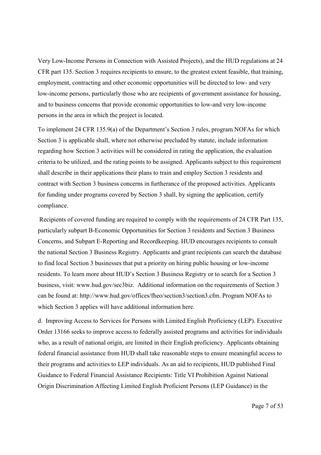Very Low-Income Persons in Connection with Assisted Projects), and the HUD regulations at 24 CFR part 135. Section 3 requires recipients to ensure, to the greatest extent feasible, that training, employment, contracting and other economic opportunities will be directed to low- and very low-income persons, particularly those who are recipients of government assistance for housing, and to business concerns that provide economic opportunities to low-and very low-income persons in the area in which the project is located.

To implement 24 CFR 135.9(a) of the Department's Section 3 rules, program NOFAs for which Section 3 is applicable shall, where not otherwise precluded by statute, include information regarding how Section 3 activities will be considered in rating the application, the evaluation criteria to be utilized, and the rating points to be assigned. Applicants subject to this requirement shall describe in their applications their plans to train and employ Section 3 residents and contract with Section 3 business concerns in furtherance of the proposed activities. Applicants for funding under programs covered by Section 3 shall, by signing the application, certify compliance.

Recipients of covered funding are required to comply with the requirements of 24 CFR Part 135, particularly subpart B-Economic Opportunities for Section 3 residents and Section 3 Business Concerns, and Subpart E-Reporting and Recordkeeping. HUD encourages recipients to consult the national Section 3 Business Registry. Applicants and grant recipients can search the database to find local Section 3 businesses that put a priority on hiring public housing or low-income residents. To learn more about HUD's Section 3 Business Registry or to search for a Section 3 business, visit: www.hud.gov/sec3biz. Additional information on the requirements of Section 3 can be found at: http://www.hud.gov/offices/fheo/section3/section3.cfm. Program NOFAs to which Section 3 applies will have additional information here.

d. Improving Access to Services for Persons with Limited English Proficiency (LEP). Executive Order 13166 seeks to improve access to federally assisted programs and activities for individuals who, as a result of national origin, are limited in their English proficiency. Applicants obtaining federal financial assistance from HUD shall take reasonable steps to ensure meaningful access to their programs and activities to LEP individuals. As an aid to recipients, HUD published Final Guidance to Federal Financial Assistance Recipients: Title VI Prohibition Against National Origin Discrimination Affecting Limited English Proficient Persons (LEP Guidance) in the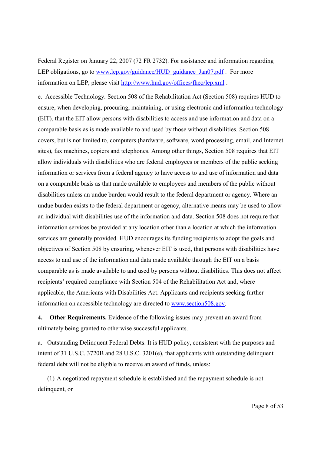Federal Register on January 22, 2007 (72 FR 2732). For assistance and information regarding LEP obligations, go to www.lep.gov/guidance/HUD\_guidance\_Jan07.pdf . For more information on LEP, please visit http://www.hud.gov/offices/fheo/lep.xml .

e. Accessible Technology. Section 508 of the Rehabilitation Act (Section 508) requires HUD to ensure, when developing, procuring, maintaining, or using electronic and information technology (EIT), that the EIT allow persons with disabilities to access and use information and data on a comparable basis as is made available to and used by those without disabilities. Section 508 covers, but is not limited to, computers (hardware, software, word processing, email, and Internet sites), fax machines, copiers and telephones. Among other things, Section 508 requires that EIT allow individuals with disabilities who are federal employees or members of the public seeking information or services from a federal agency to have access to and use of information and data on a comparable basis as that made available to employees and members of the public without disabilities unless an undue burden would result to the federal department or agency. Where an undue burden exists to the federal department or agency, alternative means may be used to allow an individual with disabilities use of the information and data. Section 508 does not require that information services be provided at any location other than a location at which the information services are generally provided. HUD encourages its funding recipients to adopt the goals and objectives of Section 508 by ensuring, whenever EIT is used, that persons with disabilities have access to and use of the information and data made available through the EIT on a basis comparable as is made available to and used by persons without disabilities. This does not affect recipients' required compliance with Section 504 of the Rehabilitation Act and, where applicable, the Americans with Disabilities Act. Applicants and recipients seeking further information on accessible technology are directed to www.section508.gov.

**4. Other Requirements.** Evidence of the following issues may prevent an award from ultimately being granted to otherwise successful applicants.

a. Outstanding Delinquent Federal Debts. It is HUD policy, consistent with the purposes and intent of 31 U.S.C. 3720B and 28 U.S.C. 3201(e), that applicants with outstanding delinquent federal debt will not be eligible to receive an award of funds, unless:

(1) A negotiated repayment schedule is established and the repayment schedule is not delinquent, or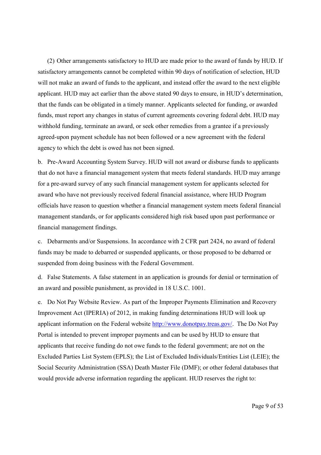(2) Other arrangements satisfactory to HUD are made prior to the award of funds by HUD. If satisfactory arrangements cannot be completed within 90 days of notification of selection, HUD will not make an award of funds to the applicant, and instead offer the award to the next eligible applicant. HUD may act earlier than the above stated 90 days to ensure, in HUD's determination, that the funds can be obligated in a timely manner. Applicants selected for funding, or awarded funds, must report any changes in status of current agreements covering federal debt. HUD may withhold funding, terminate an award, or seek other remedies from a grantee if a previously agreed-upon payment schedule has not been followed or a new agreement with the federal agency to which the debt is owed has not been signed.

b. Pre-Award Accounting System Survey. HUD will not award or disburse funds to applicants that do not have a financial management system that meets federal standards. HUD may arrange for a pre-award survey of any such financial management system for applicants selected for award who have not previously received federal financial assistance, where HUD Program officials have reason to question whether a financial management system meets federal financial management standards, or for applicants considered high risk based upon past performance or financial management findings.

c. Debarments and/or Suspensions. In accordance with 2 CFR part 2424, no award of federal funds may be made to debarred or suspended applicants, or those proposed to be debarred or suspended from doing business with the Federal Government.

d. False Statements. A false statement in an application is grounds for denial or termination of an award and possible punishment, as provided in 18 U.S.C. 1001.

e. Do Not Pay Website Review. As part of the Improper Payments Elimination and Recovery Improvement Act (IPERIA) of 2012, in making funding determinations HUD will look up applicant information on the Federal website http://www.donotpay.treas.gov/. The Do Not Pay Portal is intended to prevent improper payments and can be used by HUD to ensure that applicants that receive funding do not owe funds to the federal government; are not on the Excluded Parties List System (EPLS); the List of Excluded Individuals/Entities List (LEIE); the Social Security Administration (SSA) Death Master File (DMF); or other federal databases that would provide adverse information regarding the applicant. HUD reserves the right to: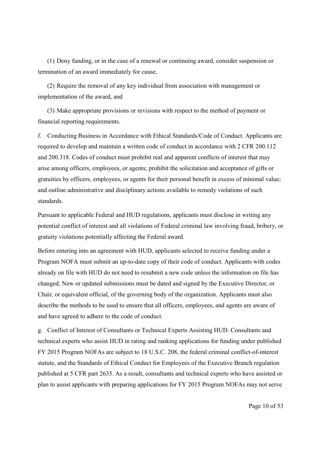(1) Deny funding, or in the case of a renewal or continuing award, consider suspension or termination of an award immediately for cause,

(2) Require the removal of any key individual from association with management or implementation of the award, and

(3) Make appropriate provisions or revisions with respect to the method of payment or financial reporting requirements.

f. Conducting Business in Accordance with Ethical Standards/Code of Conduct. Applicants are required to develop and maintain a written code of conduct in accordance with 2 CFR 200.112 and 200.318. Codes of conduct must prohibit real and apparent conflicts of interest that may arise among officers, employees, or agents; prohibit the solicitation and acceptance of gifts or gratuities by officers, employees, or agents for their personal benefit in excess of minimal value; and outline administrative and disciplinary actions available to remedy violations of such standards.

Pursuant to applicable Federal and HUD regulations, applicants must disclose in writing any potential conflict of interest and all violations of Federal criminal law involving fraud, bribery, or gratuity violations potentially affecting the Federal award.

Before entering into an agreement with HUD, applicants selected to receive funding under a Program NOFA must submit an up-to-date copy of their code of conduct. Applicants with codes already on file with HUD do not need to resubmit a new code unless the information on file has changed. New or updated submissions must be dated and signed by the Executive Director, or Chair, or equivalent official, of the governing body of the organization. Applicants must also describe the methods to be used to ensure that all officers, employees, and agents are aware of and have agreed to adhere to the code of conduct.

g. Conflict of Interest of Consultants or Technical Experts Assisting HUD. Consultants and technical experts who assist HUD in rating and ranking applications for funding under published FY 2015 Program NOFAs are subject to 18 U.S.C. 208, the federal criminal conflict-of-interest statute, and the Standards of Ethical Conduct for Employees of the Executive Branch regulation published at 5 CFR part 2635. As a result, consultants and technical experts who have assisted or plan to assist applicants with preparing applications for FY 2015 Program NOFAs may not serve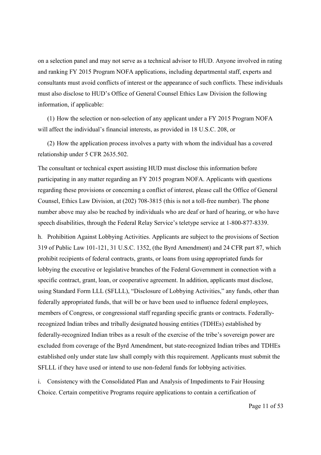on a selection panel and may not serve as a technical advisor to HUD. Anyone involved in rating and ranking FY 2015 Program NOFA applications, including departmental staff, experts and consultants must avoid conflicts of interest or the appearance of such conflicts. These individuals must also disclose to HUD's Office of General Counsel Ethics Law Division the following information, if applicable:

(1) How the selection or non-selection of any applicant under a FY 2015 Program NOFA will affect the individual's financial interests, as provided in 18 U.S.C. 208, or

(2) How the application process involves a party with whom the individual has a covered relationship under 5 CFR 2635.502.

The consultant or technical expert assisting HUD must disclose this information before participating in any matter regarding an FY 2015 program NOFA. Applicants with questions regarding these provisions or concerning a conflict of interest, please call the Office of General Counsel, Ethics Law Division, at (202) 708-3815 (this is not a toll-free number). The phone number above may also be reached by individuals who are deaf or hard of hearing, or who have speech disabilities, through the Federal Relay Service's teletype service at 1-800-877-8339.

h. Prohibition Against Lobbying Activities. Applicants are subject to the provisions of Section 319 of Public Law 101-121, 31 U.S.C. 1352, (the Byrd Amendment) and 24 CFR part 87, which prohibit recipients of federal contracts, grants, or loans from using appropriated funds for lobbying the executive or legislative branches of the Federal Government in connection with a specific contract, grant, loan, or cooperative agreement. In addition, applicants must disclose, using Standard Form LLL (SFLLL), "Disclosure of Lobbying Activities," any funds, other than federally appropriated funds, that will be or have been used to influence federal employees, members of Congress, or congressional staff regarding specific grants or contracts. Federallyrecognized Indian tribes and tribally designated housing entities (TDHEs) established by federally-recognized Indian tribes as a result of the exercise of the tribe's sovereign power are excluded from coverage of the Byrd Amendment, but state-recognized Indian tribes and TDHEs established only under state law shall comply with this requirement. Applicants must submit the SFLLL if they have used or intend to use non-federal funds for lobbying activities.

i. Consistency with the Consolidated Plan and Analysis of Impediments to Fair Housing Choice. Certain competitive Programs require applications to contain a certification of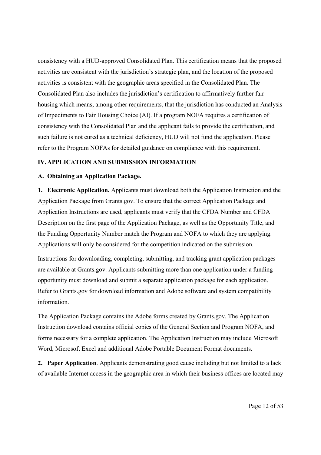consistency with a HUD-approved Consolidated Plan. This certification means that the proposed activities are consistent with the jurisdiction's strategic plan, and the location of the proposed activities is consistent with the geographic areas specified in the Consolidated Plan. The Consolidated Plan also includes the jurisdiction's certification to affirmatively further fair housing which means, among other requirements, that the jurisdiction has conducted an Analysis of Impediments to Fair Housing Choice (AI). If a program NOFA requires a certification of consistency with the Consolidated Plan and the applicant fails to provide the certification, and such failure is not cured as a technical deficiency, HUD will not fund the application. Please refer to the Program NOFAs for detailed guidance on compliance with this requirement.

## **IV.APPLICATION AND SUBMISSION INFORMATION**

#### **A. Obtaining an Application Package.**

**1. Electronic Application.** Applicants must download both the Application Instruction and the Application Package from Grants.gov. To ensure that the correct Application Package and Application Instructions are used, applicants must verify that the CFDA Number and CFDA Description on the first page of the Application Package, as well as the Opportunity Title, and the Funding Opportunity Number match the Program and NOFA to which they are applying. Applications will only be considered for the competition indicated on the submission.

Instructions for downloading, completing, submitting, and tracking grant application packages are available at Grants.gov. Applicants submitting more than one application under a funding opportunity must download and submit a separate application package for each application. Refer to Grants.gov for download information and Adobe software and system compatibility information.

The Application Package contains the Adobe forms created by Grants.gov. The Application Instruction download contains official copies of the General Section and Program NOFA, and forms necessary for a complete application. The Application Instruction may include Microsoft Word, Microsoft Excel and additional Adobe Portable Document Format documents.

**2. Paper Application**. Applicants demonstrating good cause including but not limited to a lack of available Internet access in the geographic area in which their business offices are located may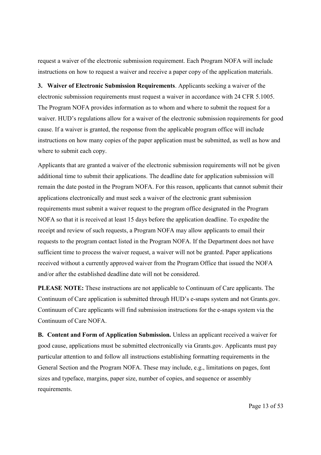request a waiver of the electronic submission requirement. Each Program NOFA will include instructions on how to request a waiver and receive a paper copy of the application materials.

**3. Waiver of Electronic Submission Requirements**. Applicants seeking a waiver of the electronic submission requirements must request a waiver in accordance with 24 CFR 5.1005. The Program NOFA provides information as to whom and where to submit the request for a waiver. HUD's regulations allow for a waiver of the electronic submission requirements for good cause. If a waiver is granted, the response from the applicable program office will include instructions on how many copies of the paper application must be submitted, as well as how and where to submit each copy.

Applicants that are granted a waiver of the electronic submission requirements will not be given additional time to submit their applications. The deadline date for application submission will remain the date posted in the Program NOFA. For this reason, applicants that cannot submit their applications electronically and must seek a waiver of the electronic grant submission requirements must submit a waiver request to the program office designated in the Program NOFA so that it is received at least 15 days before the application deadline. To expedite the receipt and review of such requests, a Program NOFA may allow applicants to email their requests to the program contact listed in the Program NOFA. If the Department does not have sufficient time to process the waiver request, a waiver will not be granted. Paper applications received without a currently approved waiver from the Program Office that issued the NOFA and/or after the established deadline date will not be considered.

**PLEASE NOTE:** These instructions are not applicable to Continuum of Care applicants. The Continuum of Care application is submitted through HUD's e-snaps system and not Grants.gov. Continuum of Care applicants will find submission instructions for the e-snaps system via the Continuum of Care NOFA.

**B. Content and Form of Application Submission.** Unless an applicant received a waiver for good cause, applications must be submitted electronically via Grants.gov. Applicants must pay particular attention to and follow all instructions establishing formatting requirements in the General Section and the Program NOFA. These may include, e.g., limitations on pages, font sizes and typeface, margins, paper size, number of copies, and sequence or assembly requirements.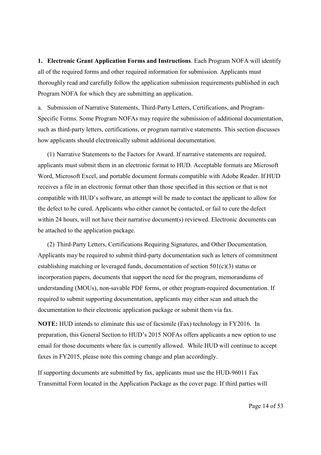**1. Electronic Grant Application Forms and Instructions**. Each Program NOFA will identify all of the required forms and other required information for submission. Applicants must thoroughly read and carefully follow the application submission requirements published in each Program NOFA for which they are submitting an application.

a. Submission of Narrative Statements, Third-Party Letters, Certifications, and Program-Specific Forms. Some Program NOFAs may require the submission of additional documentation, such as third-party letters, certifications, or program narrative statements. This section discusses how applicants should electronically submit additional documentation.

(1) Narrative Statements to the Factors for Award. If narrative statements are required, applicants must submit them in an electronic format to HUD. Acceptable formats are Microsoft Word, Microsoft Excel, and portable document formats compatible with Adobe Reader. If HUD receives a file in an electronic format other than those specified in this section or that is not compatible with HUD's software, an attempt will be made to contact the applicant to allow for the defect to be cured. Applicants who either cannot be contacted, or fail to cure the defect within 24 hours, will not have their narrative document(s) reviewed. Electronic documents can be attached to the application package.

(2) Third-Party Letters, Certifications Requiring Signatures, and Other Documentation. Applicants may be required to submit third-party documentation such as letters of commitment establishing matching or leveraged funds, documentation of section 501(c)(3) status or incorporation papers, documents that support the need for the program, memorandums of understanding (MOUs), non-savable PDF forms, or other program-required documentation. If required to submit supporting documentation, applicants may either scan and attach the documentation to their electronic application package or submit them via fax.

**NOTE:** HUD intends to eliminate this use of facsimile (Fax) technology in FY2016. In preparation, this General Section to HUD's 2015 NOFAs offers applicants a new option to use email for those documents where fax is currently allowed. While HUD will continue to accept faxes in FY2015, please note this coming change and plan accordingly.

If supporting documents are submitted by fax, applicants must use the HUD-96011 Fax Transmittal Form located in the Application Package as the cover page. If third parties will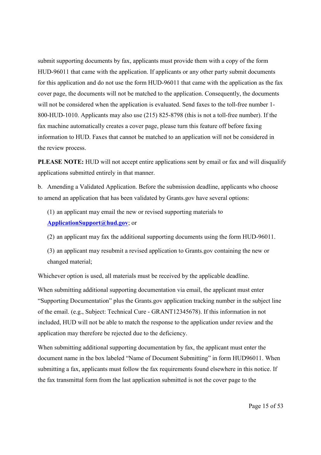submit supporting documents by fax, applicants must provide them with a copy of the form HUD-96011 that came with the application. If applicants or any other party submit documents for this application and do not use the form HUD-96011 that came with the application as the fax cover page, the documents will not be matched to the application. Consequently, the documents will not be considered when the application is evaluated. Send faxes to the toll-free number 1-800-HUD-1010. Applicants may also use (215) 825-8798 (this is not a toll-free number). If the fax machine automatically creates a cover page, please turn this feature off before faxing information to HUD. Faxes that cannot be matched to an application will not be considered in the review process.

**PLEASE NOTE:** HUD will not accept entire applications sent by email or fax and will disqualify applications submitted entirely in that manner.

b. Amending a Validated Application. Before the submission deadline, applicants who choose to amend an application that has been validated by Grants.gov have several options:

(1) an applicant may email the new or revised supporting materials to **ApplicationSupport@hud.gov**; or

(2) an applicant may fax the additional supporting documents using the form HUD-96011.

(3) an applicant may resubmit a revised application to Grants.gov containing the new or changed material;

Whichever option is used, all materials must be received by the applicable deadline.

When submitting additional supporting documentation via email, the applicant must enter "Supporting Documentation" plus the Grants.gov application tracking number in the subject line of the email. (e.g., Subject: Technical Cure - GRANT12345678). If this information in not included, HUD will not be able to match the response to the application under review and the application may therefore be rejected due to the deficiency.

When submitting additional supporting documentation by fax, the applicant must enter the document name in the box labeled "Name of Document Submitting" in form HUD96011. When submitting a fax, applicants must follow the fax requirements found elsewhere in this notice. If the fax transmittal form from the last application submitted is not the cover page to the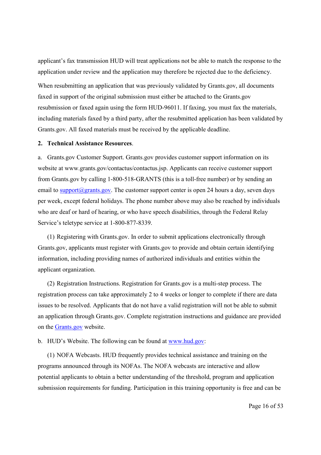applicant's fax transmission HUD will treat applications not be able to match the response to the application under review and the application may therefore be rejected due to the deficiency.

When resubmitting an application that was previously validated by Grants.gov, all documents faxed in support of the original submission must either be attached to the Grants.gov resubmission or faxed again using the form HUD-96011. If faxing, you must fax the materials, including materials faxed by a third party, after the resubmitted application has been validated by Grants.gov. All faxed materials must be received by the applicable deadline.

#### **2. Technical Assistance Resources**.

a. Grants.gov Customer Support. Grants.gov provides customer support information on its website at www.grants.gov/contactus/contactus.jsp. Applicants can receive customer support from Grants.gov by calling 1-800-518-GRANTS (this is a toll-free number) or by sending an email to support $(\partial \rho)$ grants.gov. The customer support center is open 24 hours a day, seven days per week, except federal holidays. The phone number above may also be reached by individuals who are deaf or hard of hearing, or who have speech disabilities, through the Federal Relay Service's teletype service at 1-800-877-8339.

(1) Registering with Grants.gov. In order to submit applications electronically through Grants.gov, applicants must register with Grants.gov to provide and obtain certain identifying information, including providing names of authorized individuals and entities within the applicant organization.

(2) Registration Instructions. Registration for Grants.gov is a multi-step process. The registration process can take approximately 2 to 4 weeks or longer to complete if there are data issues to be resolved. Applicants that do not have a valid registration will not be able to submit an application through Grants.gov. Complete registration instructions and guidance are provided on the [Grants.gov](http://www.grants.gov/web/grants/applicants/organization-registration.html) website.

#### b. HUD's Website. The following can be found at [www.hud.gov:](http://www.hud.gov/)

(1) NOFA Webcasts. HUD frequently provides technical assistance and training on the programs announced through its NOFAs. The NOFA webcasts are interactive and allow potential applicants to obtain a better understanding of the threshold, program and application submission requirements for funding. Participation in this training opportunity is free and can be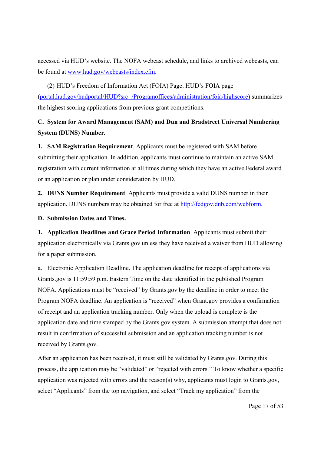accessed via HUD's website. The NOFA webcast schedule, and links to archived webcasts, can be found at [www.hud.gov/webcasts/index.cfm.](http://www.hud.gov/webcasts/index.cfm)

(2) HUD's Freedom of Information Act (FOIA) Page. HUD's FOIA page ([portal.hud.gov/hudportal/HUD?src=/Programoffices/administration/foia/highscore\)](http://portal.hud.gov/hudportal/HUD?src=/program_offices/administration/foia/highscore) summarizes the highest scoring applications from previous grant competitions.

# **C. System for Award Management (SAM) and Dun and Bradstreet Universal Numbering System (DUNS) Number.**

**1. SAM Registration Requirement**. Applicants must be registered with SAM before submitting their application. In addition, applicants must continue to maintain an active SAM registration with current information at all times during which they have an active Federal award or an application or plan under consideration by HUD.

**2. DUNS Number Requirement**. Applicants must provide a valid DUNS number in their application. DUNS numbers may be obtained for free at [http://fedgov.dnb.com/webform.](http://fedgov.dnb.com/webform)

**D. Submission Dates and Times.**

**1. Application Deadlines and Grace Period Information**. Applicants must submit their application electronically via Grants.gov unless they have received a waiver from HUD allowing for a paper submission.

a. Electronic Application Deadline. The application deadline for receipt of applications via Grants.gov is 11:59:59 p.m. Eastern Time on the date identified in the published Program NOFA. Applications must be "received" by Grants.gov by the deadline in order to meet the Program NOFA deadline. An application is "received" when Grant.gov provides a confirmation of receipt and an application tracking number. Only when the upload is complete is the application date and time stamped by the Grants.gov system. A submission attempt that does not result in confirmation of successful submission and an application tracking number is not received by Grants.gov.

After an application has been received, it must still be validated by Grants.gov. During this process, the application may be "validated" or "rejected with errors." To know whether a specific application was rejected with errors and the reason(s) why, applicants must login to Grants.gov, select "Applicants" from the top navigation, and select "Track my application" from the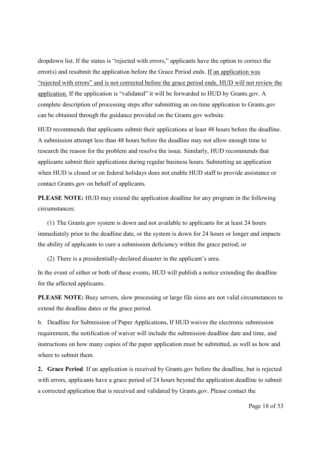dropdown list. If the status is "rejected with errors," applicants have the option to correct the error(s) and resubmit the application before the Grace Period ends. If an application was "rejected with errors" and is not corrected before the grace period ends, HUD will not review the application. If the application is "validated" it will be forwarded to HUD by Grants.gov. A complete description of processing steps after submitting an on-time application to Grants.gov can be obtained through the guidance provided on the Grants.gov website.

HUD recommends that applicants submit their applications at least 48 hours before the deadline. A submission attempt less than 48 hours before the deadline may not allow enough time to research the reason for the problem and resolve the issue. Similarly, HUD recommends that applicants submit their applications during regular business hours. Submitting an application when HUD is closed or on federal holidays does not enable HUD staff to provide assistance or contact Grants.gov on behalf of applicants.

**PLEASE NOTE:** HUD may extend the application deadline for any program in the following circumstances:

(1) The Grants.gov system is down and not available to applicants for at least 24 hours immediately prior to the deadline date, or the system is down for 24 hours or longer and impacts the ability of applicants to cure a submission deficiency within the grace period; or

(2) There is a presidentially-declared disaster in the applicant's area.

In the event of either or both of these events, HUD will publish a notice extending the deadline for the affected applicants.

**PLEASE NOTE:** Busy servers, slow processing or large file sizes are not valid circumstances to extend the deadline dates or the grace period.

b. Deadline for Submission of Paper Applications**.** If HUD waives the electronic submission requirement, the notification of waiver will include the submission deadline date and time, and instructions on how many copies of the paper application must be submitted, as well as how and where to submit them.

**2. Grace Period**. If an application is received by Grants.gov before the deadline, but is rejected with errors, applicants have a grace period of 24 hours beyond the application deadline to submit a corrected application that is received and validated by Grants.gov. Please contact the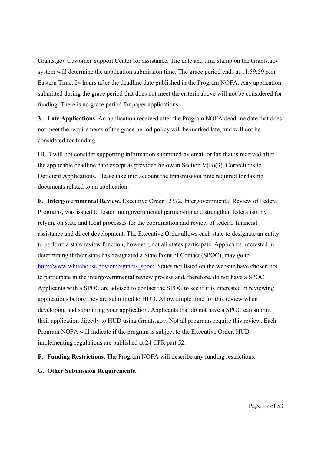Grants.gov Customer Support Center for assistance. The date and time stamp on the Grants.gov system will determine the application submission time. The grace period ends at 11:59:59 p.m. Eastern Time, 24 hours after the deadline date published in the Program NOFA. Any application submitted during the grace period that does not meet the criteria above will not be considered for funding. There is no grace period for paper applications.

**3. Late Applications**. An application received after the Program NOFA deadline date that does not meet the requirements of the grace period policy will be marked late, and will not be considered for funding.

HUD will not consider supporting information submitted by email or fax that is received after the applicable deadline date except as provided below in Section  $V(B)(3)$ , Corrections to Deficient Applications. Please take into account the transmission time required for faxing documents related to an application.

**E. Intergovernmental Review.** Executive Order 12372, Intergovernmental Review of Federal Programs, was issued to foster intergovernmental partnership and strengthen federalism by relying on state and local processes for the coordination and review of federal financial assistance and direct development. The Executive Order allows each state to designate an entity to perform a state review function; however, not all states participate. Applicants interested in determining if their state has designated a State Point of Contact (SPOC), may go to http://www.whitehouse.gov/omb/grants\_spoc/. States not listed on the website have chosen not to participate in the intergovernmental review process and, therefore, do not have a SPOC. Applicants with a SPOC are advised to contact the SPOC to see if it is interested in reviewing applications before they are submitted to HUD. Allow ample time for this review when developing and submitting your application. Applicants that do not have a SPOC can submit their application directly to HUD using Grants.gov. Not all programs require this review. Each Program NOFA will indicate if the program is subject to the Executive Order. HUD implementing regulations are published at 24 CFR part 52.

**F. Funding Restrictions.** The Program NOFA will describe any funding restrictions.

**G. Other Submission Requirements.**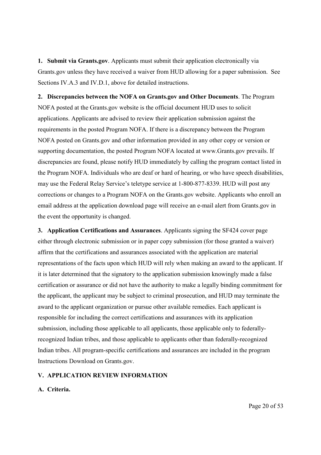**1. Submit via Grants.gov**. Applicants must submit their application electronically via Grants.gov unless they have received a waiver from HUD allowing for a paper submission. See Sections IV.A.3 and IV.D.1, above for detailed instructions.

**2. Discrepancies between the NOFA on Grants.gov and Other Documents**. The Program NOFA posted at the Grants.gov website is the official document HUD uses to solicit applications. Applicants are advised to review their application submission against the requirements in the posted Program NOFA. If there is a discrepancy between the Program NOFA posted on Grants.gov and other information provided in any other copy or version or supporting documentation, the posted Program NOFA located at www.Grants.gov prevails. If discrepancies are found, please notify HUD immediately by calling the program contact listed in the Program NOFA. Individuals who are deaf or hard of hearing, or who have speech disabilities, may use the Federal Relay Service's teletype service at 1-800-877-8339. HUD will post any corrections or changes to a Program NOFA on the Grants.gov website. Applicants who enroll an email address at the application download page will receive an e-mail alert from Grants.gov in the event the opportunity is changed.

**3. Application Certifications and Assurances**. Applicants signing the SF424 cover page either through electronic submission or in paper copy submission (for those granted a waiver) affirm that the certifications and assurances associated with the application are material representations of the facts upon which HUD will rely when making an award to the applicant. If it is later determined that the signatory to the application submission knowingly made a false certification or assurance or did not have the authority to make a legally binding commitment for the applicant, the applicant may be subject to criminal prosecution, and HUD may terminate the award to the applicant organization or pursue other available remedies. Each applicant is responsible for including the correct certifications and assurances with its application submission, including those applicable to all applicants, those applicable only to federallyrecognized Indian tribes, and those applicable to applicants other than federally-recognized Indian tribes. All program-specific certifications and assurances are included in the program Instructions Download on Grants.gov.

#### **V. APPLICATION REVIEW INFORMATION**

#### **A. Criteria.**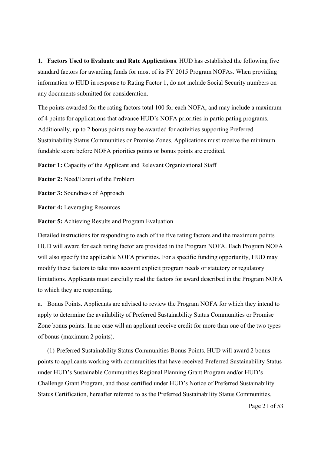**1. Factors Used to Evaluate and Rate Applications**. HUD has established the following five standard factors for awarding funds for most of its FY 2015 Program NOFAs. When providing information to HUD in response to Rating Factor 1, do not include Social Security numbers on any documents submitted for consideration.

The points awarded for the rating factors total 100 for each NOFA, and may include a maximum of 4 points for applications that advance HUD's NOFA priorities in participating programs. Additionally, up to 2 bonus points may be awarded for activities supporting Preferred Sustainability Status Communities or Promise Zones. Applications must receive the minimum fundable score before NOFA priorities points or bonus points are credited.

**Factor 1:** Capacity of the Applicant and Relevant Organizational Staff

**Factor 2:** Need/Extent of the Problem

**Factor 3:** Soundness of Approach

**Factor 4:** Leveraging Resources

**Factor 5:** Achieving Results and Program Evaluation

Detailed instructions for responding to each of the five rating factors and the maximum points HUD will award for each rating factor are provided in the Program NOFA. Each Program NOFA will also specify the applicable NOFA priorities. For a specific funding opportunity, HUD may modify these factors to take into account explicit program needs or statutory or regulatory limitations. Applicants must carefully read the factors for award described in the Program NOFA to which they are responding.

a. Bonus Points. Applicants are advised to review the Program NOFA for which they intend to apply to determine the availability of Preferred Sustainability Status Communities or Promise Zone bonus points. In no case will an applicant receive credit for more than one of the two types of bonus (maximum 2 points).

(1) Preferred Sustainability Status Communities Bonus Points. HUD will award 2 bonus points to applicants working with communities that have received Preferred Sustainability Status under HUD's Sustainable Communities Regional Planning Grant Program and/or HUD's Challenge Grant Program, and those certified under HUD's Notice of Preferred Sustainability Status Certification, hereafter referred to as the Preferred Sustainability Status Communities.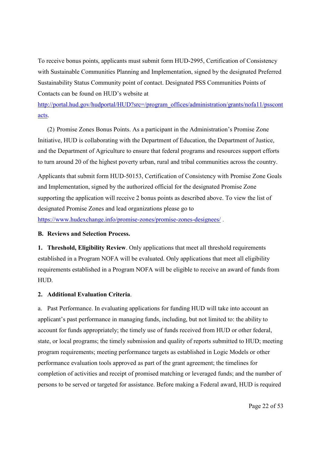To receive bonus points, applicants must submit form HUD-2995, Certification of Consistency with Sustainable Communities Planning and Implementation, signed by the designated Preferred Sustainability Status Community point of contact. Designated PSS Communities Points of Contacts can be found on HUD's website at

[http://portal.hud.gov/hudportal/HUD?src=/program\\_offices/administration/grants/nofa11/psscont](http://portal.hud.gov/hudportal/HUD?src=/program_offices/administration/grants/nofa11/psscontacts) [acts.](http://portal.hud.gov/hudportal/HUD?src=/program_offices/administration/grants/nofa11/psscontacts)

(2) Promise Zones Bonus Points. As a participant in the Administration's Promise Zone Initiative, HUD is collaborating with the Department of Education, the Department of Justice, and the Department of Agriculture to ensure that federal programs and resources support efforts to turn around 20 of the highest poverty urban, rural and tribal communities across the country.

Applicants that submit form HUD-50153, Certification of Consistency with Promise Zone Goals and Implementation, signed by the authorized official for the designated Promise Zone supporting the application will receive 2 bonus points as described above. To view the list of designated Promise Zones and lead organizations please go to https://www.hudexchange.info/promise-zones/promise-zones-designees/ .

#### **B. Reviews and Selection Process.**

**1. Threshold, Eligibility Review**. Only applications that meet all threshold requirements established in a Program NOFA will be evaluated. Only applications that meet all eligibility requirements established in a Program NOFA will be eligible to receive an award of funds from HUD.

#### **2. Additional Evaluation Criteria**.

a. Past Performance. In evaluating applications for funding HUD will take into account an applicant's past performance in managing funds, including, but not limited to: the ability to account for funds appropriately; the timely use of funds received from HUD or other federal, state, or local programs; the timely submission and quality of reports submitted to HUD; meeting program requirements; meeting performance targets as established in Logic Models or other performance evaluation tools approved as part of the grant agreement; the timelines for completion of activities and receipt of promised matching or leveraged funds; and the number of persons to be served or targeted for assistance. Before making a Federal award, HUD is required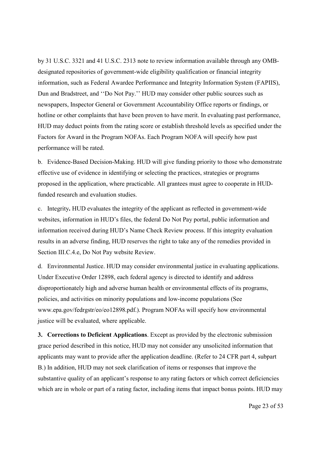by 31 U.S.C. 3321 and 41 U.S.C. 2313 note to review information available through any OMBdesignated repositories of government-wide eligibility qualification or financial integrity information, such as Federal Awardee Performance and Integrity Information System (FAPIIS), Dun and Bradstreet, and ''Do Not Pay.'' HUD may consider other public sources such as newspapers, Inspector General or Government Accountability Office reports or findings, or hotline or other complaints that have been proven to have merit. In evaluating past performance, HUD may deduct points from the rating score or establish threshold levels as specified under the Factors for Award in the Program NOFAs. Each Program NOFA will specify how past performance will be rated.

b. Evidence-Based Decision-Making. HUD will give funding priority to those who demonstrate effective use of evidence in identifying or selecting the practices, strategies or programs proposed in the application, where practicable. All grantees must agree to cooperate in HUDfunded research and evaluation studies.

c. Integrity**.** HUD evaluates the integrity of the applicant as reflected in government-wide websites, information in HUD's files, the federal Do Not Pay portal, public information and information received during HUD's Name Check Review process. If this integrity evaluation results in an adverse finding, HUD reserves the right to take any of the remedies provided in Section III.C.4.e, Do Not Pay website Review.

d. Environmental Justice. HUD may consider environmental justice in evaluating applications. Under Executive Order 12898, each federal agency is directed to identify and address disproportionately high and adverse human health or environmental effects of its programs, policies, and activities on minority populations and low-income populations (See www.epa.gov/fedrgstr/eo/eo12898.pdf.). Program NOFAs will specify how environmental justice will be evaluated, where applicable.

**3. Corrections to Deficient Applications**. Except as provided by the electronic submission grace period described in this notice, HUD may not consider any unsolicited information that applicants may want to provide after the application deadline. (Refer to 24 CFR part 4, subpart B.) In addition, HUD may not seek clarification of items or responses that improve the substantive quality of an applicant's response to any rating factors or which correct deficiencies which are in whole or part of a rating factor, including items that impact bonus points. HUD may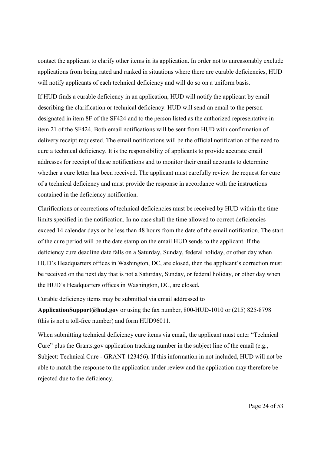contact the applicant to clarify other items in its application. In order not to unreasonably exclude applications from being rated and ranked in situations where there are curable deficiencies, HUD will notify applicants of each technical deficiency and will do so on a uniform basis.

If HUD finds a curable deficiency in an application, HUD will notify the applicant by email describing the clarification or technical deficiency. HUD will send an email to the person designated in item 8F of the SF424 and to the person listed as the authorized representative in item 21 of the SF424. Both email notifications will be sent from HUD with confirmation of delivery receipt requested. The email notifications will be the official notification of the need to cure a technical deficiency. It is the responsibility of applicants to provide accurate email addresses for receipt of these notifications and to monitor their email accounts to determine whether a cure letter has been received. The applicant must carefully review the request for cure of a technical deficiency and must provide the response in accordance with the instructions contained in the deficiency notification.

Clarifications or corrections of technical deficiencies must be received by HUD within the time limits specified in the notification. In no case shall the time allowed to correct deficiencies exceed 14 calendar days or be less than 48 hours from the date of the email notification. The start of the cure period will be the date stamp on the email HUD sends to the applicant. If the deficiency cure deadline date falls on a Saturday, Sunday, federal holiday, or other day when HUD's Headquarters offices in Washington, DC, are closed, then the applicant's correction must be received on the next day that is not a Saturday, Sunday, or federal holiday, or other day when the HUD's Headquarters offices in Washington, DC, are closed.

Curable deficiency items may be submitted via email addressed to

**ApplicationSupport@hud.gov** or using the fax number, 800-HUD-1010 or (215) 825-8798 (this is not a toll-free number) and form HUD96011.

When submitting technical deficiency cure items via email, the applicant must enter "Technical Cure" plus the Grants.gov application tracking number in the subject line of the email (e.g., Subject: Technical Cure - GRANT 123456). If this information in not included, HUD will not be able to match the response to the application under review and the application may therefore be rejected due to the deficiency.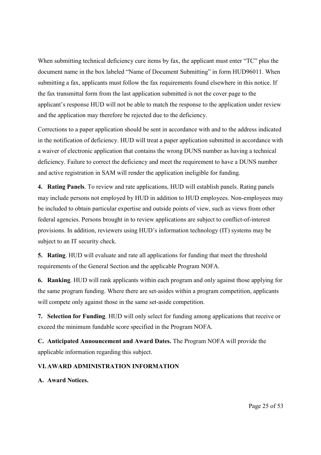When submitting technical deficiency cure items by fax, the applicant must enter "TC" plus the document name in the box labeled "Name of Document Submitting" in form HUD96011. When submitting a fax, applicants must follow the fax requirements found elsewhere in this notice. If the fax transmittal form from the last application submitted is not the cover page to the applicant's response HUD will not be able to match the response to the application under review and the application may therefore be rejected due to the deficiency.

Corrections to a paper application should be sent in accordance with and to the address indicated in the notification of deficiency. HUD will treat a paper application submitted in accordance with a waiver of electronic application that contains the wrong DUNS number as having a technical deficiency. Failure to correct the deficiency and meet the requirement to have a DUNS number and active registration in SAM will render the application ineligible for funding.

**4. Rating Panels**. To review and rate applications, HUD will establish panels. Rating panels may include persons not employed by HUD in addition to HUD employees. Non-employees may be included to obtain particular expertise and outside points of view, such as views from other federal agencies. Persons brought in to review applications are subject to conflict-of-interest provisions. In addition, reviewers using HUD's information technology (IT) systems may be subject to an IT security check.

**5. Rating**. HUD will evaluate and rate all applications for funding that meet the threshold requirements of the General Section and the applicable Program NOFA.

**6. Ranking**. HUD will rank applicants within each program and only against those applying for the same program funding. Where there are set-asides within a program competition, applicants will compete only against those in the same set-aside competition.

**7. Selection for Funding**. HUD will only select for funding among applications that receive or exceed the minimum fundable score specified in the Program NOFA.

**C. Anticipated Announcement and Award Dates.** The Program NOFA will provide the applicable information regarding this subject.

## **VI.AWARD ADMINISTRATION INFORMATION**

## **A. Award Notices.**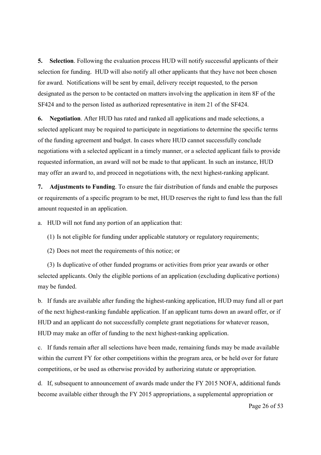**5. Selection**. Following the evaluation process HUD will notify successful applicants of their selection for funding. HUD will also notify all other applicants that they have not been chosen for award. Notifications will be sent by email, delivery receipt requested, to the person designated as the person to be contacted on matters involving the application in item 8F of the SF424 and to the person listed as authorized representative in item 21 of the SF424.

**6. Negotiation**. After HUD has rated and ranked all applications and made selections, a selected applicant may be required to participate in negotiations to determine the specific terms of the funding agreement and budget. In cases where HUD cannot successfully conclude negotiations with a selected applicant in a timely manner, or a selected applicant fails to provide requested information, an award will not be made to that applicant. In such an instance, HUD may offer an award to, and proceed in negotiations with, the next highest-ranking applicant.

**7. Adjustments to Funding**. To ensure the fair distribution of funds and enable the purposes or requirements of a specific program to be met, HUD reserves the right to fund less than the full amount requested in an application.

a. HUD will not fund any portion of an application that:

(1) Is not eligible for funding under applicable statutory or regulatory requirements;

(2) Does not meet the requirements of this notice; or

(3) Is duplicative of other funded programs or activities from prior year awards or other selected applicants. Only the eligible portions of an application (excluding duplicative portions) may be funded.

b. If funds are available after funding the highest-ranking application, HUD may fund all or part of the next highest-ranking fundable application. If an applicant turns down an award offer, or if HUD and an applicant do not successfully complete grant negotiations for whatever reason, HUD may make an offer of funding to the next highest-ranking application.

c. If funds remain after all selections have been made, remaining funds may be made available within the current FY for other competitions within the program area, or be held over for future competitions, or be used as otherwise provided by authorizing statute or appropriation.

d. If, subsequent to announcement of awards made under the FY 2015 NOFA, additional funds become available either through the FY 2015 appropriations, a supplemental appropriation or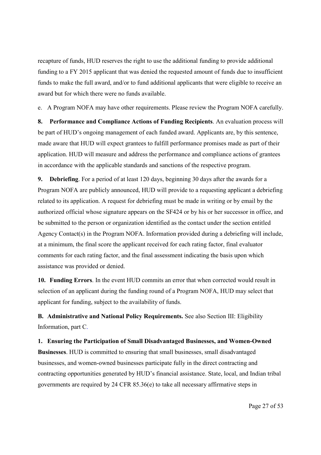recapture of funds, HUD reserves the right to use the additional funding to provide additional funding to a FY 2015 applicant that was denied the requested amount of funds due to insufficient funds to make the full award, and/or to fund additional applicants that were eligible to receive an award but for which there were no funds available.

e. A Program NOFA may have other requirements. Please review the Program NOFA carefully.

**8. Performance and Compliance Actions of Funding Recipients**. An evaluation process will be part of HUD's ongoing management of each funded award. Applicants are, by this sentence, made aware that HUD will expect grantees to fulfill performance promises made as part of their application. HUD will measure and address the performance and compliance actions of grantees in accordance with the applicable standards and sanctions of the respective program.

**9. Debriefing**. For a period of at least 120 days, beginning 30 days after the awards for a Program NOFA are publicly announced, HUD will provide to a requesting applicant a debriefing related to its application. A request for debriefing must be made in writing or by email by the authorized official whose signature appears on the SF424 or by his or her successor in office, and be submitted to the person or organization identified as the contact under the section entitled Agency Contact(s) in the Program NOFA. Information provided during a debriefing will include, at a minimum, the final score the applicant received for each rating factor, final evaluator comments for each rating factor, and the final assessment indicating the basis upon which assistance was provided or denied.

**10. Funding Errors**. In the event HUD commits an error that when corrected would result in selection of an applicant during the funding round of a Program NOFA, HUD may select that applicant for funding, subject to the availability of funds.

**B. Administrative and National Policy Requirements.** See also Section III: Eligibility Information, part C.

**1. Ensuring the Participation of Small Disadvantaged Businesses, and Women-Owned Businesses**. HUD is committed to ensuring that small businesses, small disadvantaged businesses, and women-owned businesses participate fully in the direct contracting and contracting opportunities generated by HUD's financial assistance. State, local, and Indian tribal governments are required by 24 CFR 85.36(e) to take all necessary affirmative steps in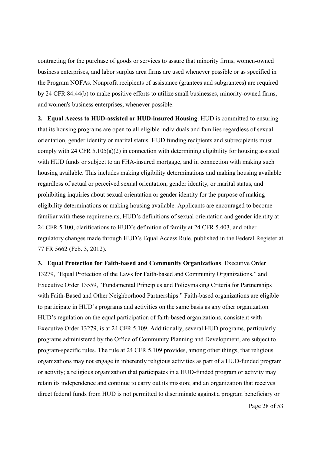contracting for the purchase of goods or services to assure that minority firms, women-owned business enterprises, and labor surplus area firms are used whenever possible or as specified in the Program NOFAs. Nonprofit recipients of assistance (grantees and subgrantees) are required by 24 CFR 84.44(b) to make positive efforts to utilize small businesses, minority-owned firms, and women's business enterprises, whenever possible.

**2. Equal Access to HUD-assisted or HUD-insured Housing**. HUD is committed to ensuring that its housing programs are open to all eligible individuals and families regardless of sexual orientation, gender identity or marital status. HUD funding recipients and subrecipients must comply with 24 CFR 5.105(a)(2) in connection with determining eligibility for housing assisted with HUD funds or subject to an FHA-insured mortgage, and in connection with making such housing available. This includes making eligibility determinations and making housing available regardless of actual or perceived sexual orientation, gender identity, or marital status, and prohibiting inquiries about sexual orientation or gender identity for the purpose of making eligibility determinations or making housing available. Applicants are encouraged to become familiar with these requirements, HUD's definitions of sexual orientation and gender identity at 24 CFR 5.100, clarifications to HUD's definition of family at 24 CFR 5.403, and other regulatory changes made through HUD's Equal Access Rule, published in the Federal Register at 77 FR 5662 (Feb. 3, 2012).

**3. Equal Protection for Faith-based and Community Organizations**. Executive Order 13279, "Equal Protection of the Laws for Faith-based and Community Organizations," and Executive Order 13559, "Fundamental Principles and Policymaking Criteria for Partnerships with Faith-Based and Other Neighborhood Partnerships." Faith-based organizations are eligible to participate in HUD's programs and activities on the same basis as any other organization. HUD's regulation on the equal participation of faith-based organizations, consistent with Executive Order 13279, is at 24 CFR 5.109. Additionally, several HUD programs, particularly programs administered by the Office of Community Planning and Development, are subject to program-specific rules. The rule at 24 CFR 5.109 provides, among other things, that religious organizations may not engage in inherently religious activities as part of a HUD-funded program or activity; a religious organization that participates in a HUD-funded program or activity may retain its independence and continue to carry out its mission; and an organization that receives direct federal funds from HUD is not permitted to discriminate against a program beneficiary or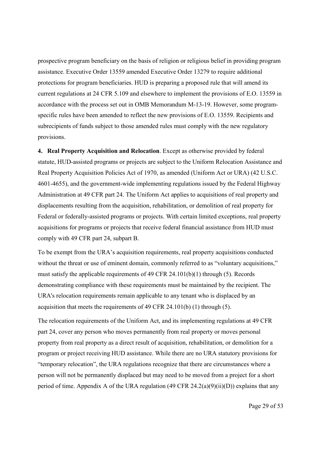prospective program beneficiary on the basis of religion or religious belief in providing program assistance. Executive Order 13559 amended Executive Order 13279 to require additional protections for program beneficiaries. HUD is preparing a proposed rule that will amend its current regulations at 24 CFR 5.109 and elsewhere to implement the provisions of E.O. 13559 in accordance with the process set out in OMB Memorandum M-13-19. However, some programspecific rules have been amended to reflect the new provisions of E.O. 13559. Recipients and subrecipients of funds subject to those amended rules must comply with the new regulatory provisions.

**4. Real Property Acquisition and Relocation**. Except as otherwise provided by federal statute, HUD-assisted programs or projects are subject to the Uniform Relocation Assistance and Real Property Acquisition Policies Act of 1970, as amended (Uniform Act or URA) (42 U.S.C. 4601-4655), and the government-wide implementing regulations issued by the Federal Highway Administration at 49 CFR part 24. The Uniform Act applies to acquisitions of real property and displacements resulting from the acquisition, rehabilitation, or demolition of real property for Federal or federally-assisted programs or projects. With certain limited exceptions, real property acquisitions for programs or projects that receive federal financial assistance from HUD must comply with 49 CFR part 24, subpart B.

To be exempt from the URA's acquisition requirements, real property acquisitions conducted without the threat or use of eminent domain, commonly referred to as "voluntary acquisitions," must satisfy the applicable requirements of 49 CFR 24.101(b)(1) through (5). Records demonstrating compliance with these requirements must be maintained by the recipient. The URA's relocation requirements remain applicable to any tenant who is displaced by an acquisition that meets the requirements of 49 CFR 24.101(b) (1) through (5).

The relocation requirements of the Uniform Act, and its implementing regulations at 49 CFR part 24, cover any person who moves permanently from real property or moves personal property from real property as a direct result of acquisition, rehabilitation, or demolition for a program or project receiving HUD assistance. While there are no URA statutory provisions for "temporary relocation", the URA regulations recognize that there are circumstances where a person will not be permanently displaced but may need to be moved from a project for a short period of time. Appendix A of the URA regulation (49 CFR  $24.2(a)(9)(ii)(D)$ ) explains that any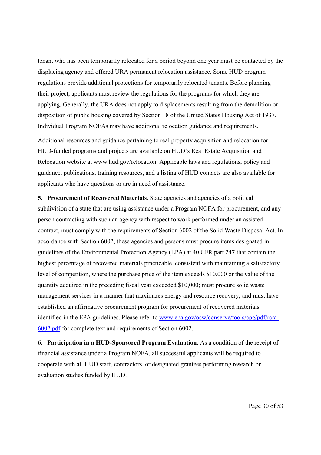tenant who has been temporarily relocated for a period beyond one year must be contacted by the displacing agency and offered URA permanent relocation assistance. Some HUD program regulations provide additional protections for temporarily relocated tenants. Before planning their project, applicants must review the regulations for the programs for which they are applying. Generally, the URA does not apply to displacements resulting from the demolition or disposition of public housing covered by Section 18 of the United States Housing Act of 1937. Individual Program NOFAs may have additional relocation guidance and requirements.

Additional resources and guidance pertaining to real property acquisition and relocation for HUD-funded programs and projects are available on HUD's Real Estate Acquisition and Relocation website at www.hud.gov/relocation. Applicable laws and regulations, policy and guidance, publications, training resources, and a listing of HUD contacts are also available for applicants who have questions or are in need of assistance.

**5. Procurement of Recovered Materials**. State agencies and agencies of a political subdivision of a state that are using assistance under a Program NOFA for procurement, and any person contracting with such an agency with respect to work performed under an assisted contract, must comply with the requirements of Section 6002 of the Solid Waste Disposal Act. In accordance with Section 6002, these agencies and persons must procure items designated in guidelines of the Environmental Protection Agency (EPA) at 40 CFR part 247 that contain the highest percentage of recovered materials practicable, consistent with maintaining a satisfactory level of competition, where the purchase price of the item exceeds \$10,000 or the value of the quantity acquired in the preceding fiscal year exceeded \$10,000; must procure solid waste management services in a manner that maximizes energy and resource recovery; and must have established an affirmative procurement program for procurement of recovered materials identified in the EPA guidelines. Please refer to www.epa.gov/osw/conserve/tools/cpg/pdf/rcra-6002.pdf for complete text and requirements of Section 6002.

**6. Participation in a HUD-Sponsored Program Evaluation**. As a condition of the receipt of financial assistance under a Program NOFA, all successful applicants will be required to cooperate with all HUD staff, contractors, or designated grantees performing research or evaluation studies funded by HUD.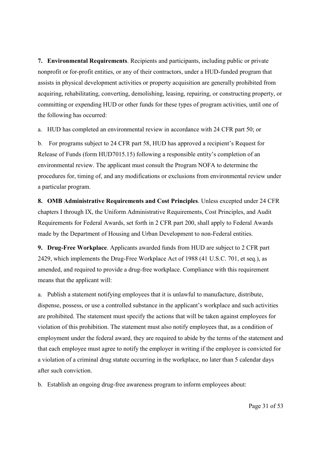**7. Environmental Requirements**. Recipients and participants, including public or private nonprofit or for-profit entities, or any of their contractors, under a HUD-funded program that assists in physical development activities or property acquisition are generally prohibited from acquiring, rehabilitating, converting, demolishing, leasing, repairing, or constructing property, or committing or expending HUD or other funds for these types of program activities, until one of the following has occurred:

a. HUD has completed an environmental review in accordance with 24 CFR part 50; or

b. For programs subject to 24 CFR part 58, HUD has approved a recipient's Request for Release of Funds (form HUD7015.15) following a responsible entity's completion of an environmental review. The applicant must consult the Program NOFA to determine the procedures for, timing of, and any modifications or exclusions from environmental review under a particular program.

**8. OMB Administrative Requirements and Cost Principles**. Unless excepted under 24 CFR chapters I through IX, the Uniform Administrative Requirements, Cost Principles, and Audit Requirements for Federal Awards, set forth in 2 CFR part 200, shall apply to Federal Awards made by the Department of Housing and Urban Development to non-Federal entities.

**9. Drug-Free Workplace**. Applicants awarded funds from HUD are subject to 2 CFR part 2429, which implements the Drug-Free Workplace Act of 1988 (41 U.S.C. 701, et seq.), as amended, and required to provide a drug-free workplace. Compliance with this requirement means that the applicant will:

a. Publish a statement notifying employees that it is unlawful to manufacture, distribute, dispense, possess, or use a controlled substance in the applicant's workplace and such activities are prohibited. The statement must specify the actions that will be taken against employees for violation of this prohibition. The statement must also notify employees that, as a condition of employment under the federal award, they are required to abide by the terms of the statement and that each employee must agree to notify the employer in writing if the employee is convicted for a violation of a criminal drug statute occurring in the workplace, no later than 5 calendar days after such conviction.

b. Establish an ongoing drug-free awareness program to inform employees about: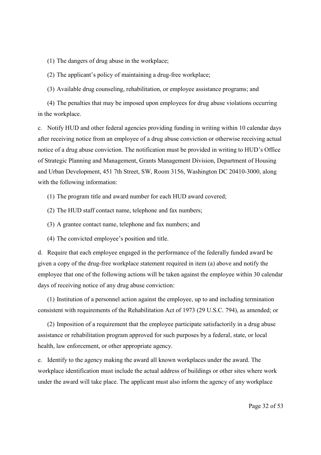(1) The dangers of drug abuse in the workplace;

(2) The applicant's policy of maintaining a drug-free workplace;

(3) Available drug counseling, rehabilitation, or employee assistance programs; and

(4) The penalties that may be imposed upon employees for drug abuse violations occurring in the workplace.

c. Notify HUD and other federal agencies providing funding in writing within 10 calendar days after receiving notice from an employee of a drug abuse conviction or otherwise receiving actual notice of a drug abuse conviction. The notification must be provided in writing to HUD's Office of Strategic Planning and Management, Grants Management Division, Department of Housing and Urban Development, 451 7th Street, SW, Room 3156, Washington DC 20410-3000, along with the following information:

(1) The program title and award number for each HUD award covered;

(2) The HUD staff contact name, telephone and fax numbers;

(3) A grantee contact name, telephone and fax numbers; and

(4) The convicted employee's position and title.

d. Require that each employee engaged in the performance of the federally funded award be given a copy of the drug-free workplace statement required in item (a) above and notify the employee that one of the following actions will be taken against the employee within 30 calendar days of receiving notice of any drug abuse conviction:

(1) Institution of a personnel action against the employee, up to and including termination consistent with requirements of the Rehabilitation Act of 1973 (29 U.S.C. 794), as amended; or

(2) Imposition of a requirement that the employee participate satisfactorily in a drug abuse assistance or rehabilitation program approved for such purposes by a federal, state, or local health, law enforcement, or other appropriate agency.

e. Identify to the agency making the award all known workplaces under the award. The workplace identification must include the actual address of buildings or other sites where work under the award will take place. The applicant must also inform the agency of any workplace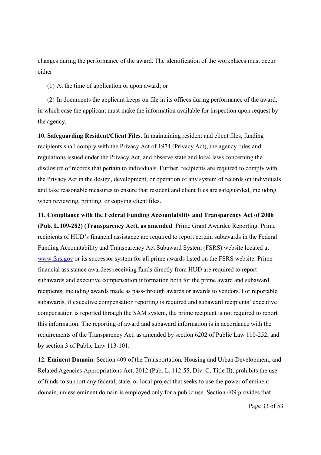changes during the performance of the award. The identification of the workplaces must occur either:

(1) At the time of application or upon award; or

(2) In documents the applicant keeps on file in its offices during performance of the award, in which case the applicant must make the information available for inspection upon request by the agency.

**10. Safeguarding Resident/Client Files**. In maintaining resident and client files, funding recipients shall comply with the Privacy Act of 1974 (Privacy Act), the agency rules and regulations issued under the Privacy Act, and observe state and local laws concerning the disclosure of records that pertain to individuals. Further, recipients are required to comply with the Privacy Act in the design, development, or operation of any system of records on individuals and take reasonable measures to ensure that resident and client files are safeguarded, including when reviewing, printing, or copying client files.

**11. Compliance with the Federal Funding Accountability and Transparency Act of 2006 (Pub. L.109-282) (Transparency Act), as amended**. Prime Grant Awardee Reporting. Prime recipients of HUD's financial assistance are required to report certain subawards in the Federal Funding Accountability and Transparency Act Subaward System (FSRS) website located at www.fsrs.gov or its successor system for all prime awards listed on the FSRS website. Prime financial assistance awardees receiving funds directly from HUD are required to report subawards and executive compensation information both for the prime award and subaward recipients, including awards made as pass-through awards or awards to vendors. For reportable subawards, if executive compensation reporting is required and subaward recipients' executive compensation is reported through the SAM system, the prime recipient is not required to report this information. The reporting of award and subaward information is in accordance with the requirements of the Transparency Act, as amended by section 6202 of Public Law 110-252, and by section 3 of Public Law 113-101.

**12. Eminent Domain**. Section 409 of the Transportation, Housing and Urban Development, and Related Agencies Appropriations Act, 2012 (Pub. L. 112-55, Div. C, Title II), prohibits the use of funds to support any federal, state, or local project that seeks to use the power of eminent domain, unless eminent domain is employed only for a public use. Section 409 provides that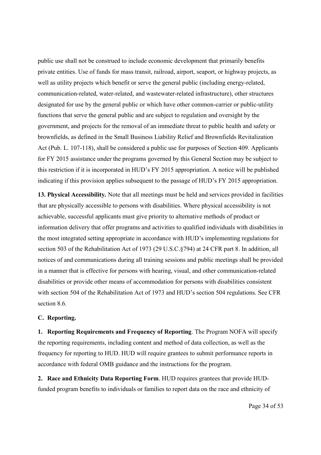public use shall not be construed to include economic development that primarily benefits private entities. Use of funds for mass transit, railroad, airport, seaport, or highway projects, as well as utility projects which benefit or serve the general public (including energy-related, communication-related, water-related, and wastewater-related infrastructure), other structures designated for use by the general public or which have other common-carrier or public-utility functions that serve the general public and are subject to regulation and oversight by the government, and projects for the removal of an immediate threat to public health and safety or brownfields, as defined in the Small Business Liability Relief and Brownfields Revitalization Act (Pub. L. 107-118), shall be considered a public use for purposes of Section 409. Applicants for FY 2015 assistance under the programs governed by this General Section may be subject to this restriction if it is incorporated in HUD's FY 2015 appropriation. A notice will be published indicating if this provision applies subsequent to the passage of HUD's FY 2015 appropriation.

**13. Physical Accessibility***.* Note that all meetings must be held and services provided in facilities that are physically accessible to persons with disabilities. Where physical accessibility is not achievable, successful applicants must give priority to alternative methods of product or information delivery that offer programs and activities to qualified individuals with disabilities in the most integrated setting appropriate in accordance with HUD's implementing regulations for section 503 of the Rehabilitation Act of 1973 (29 U.S.C.§794) at 24 CFR part 8. In addition, all notices of and communications during all training sessions and public meetings shall be provided in a manner that is effective for persons with hearing, visual, and other communication-related disabilities or provide other means of accommodation for persons with disabilities consistent with section 504 of the Rehabilitation Act of 1973 and HUD's section 504 regulations. See CFR section 8.6

#### **C. Reporting.**

**1. Reporting Requirements and Frequency of Reporting**. The Program NOFA will specify the reporting requirements, including content and method of data collection, as well as the frequency for reporting to HUD. HUD will require grantees to submit performance reports in accordance with federal OMB guidance and the instructions for the program.

**2. Race and Ethnicity Data Reporting Form**. HUD requires grantees that provide HUDfunded program benefits to individuals or families to report data on the race and ethnicity of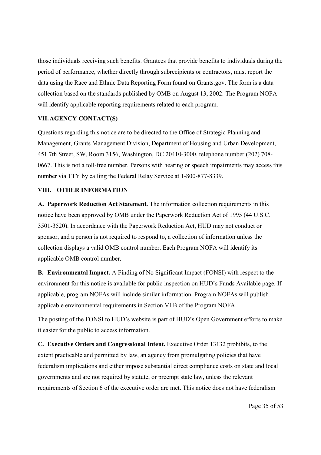those individuals receiving such benefits. Grantees that provide benefits to individuals during the period of performance, whether directly through subrecipients or contractors, must report the data using the Race and Ethnic Data Reporting Form found on Grants.gov. The form is a data collection based on the standards published by OMB on August 13, 2002. The Program NOFA will identify applicable reporting requirements related to each program.

## **VII.AGENCY CONTACT(S)**

Questions regarding this notice are to be directed to the Office of Strategic Planning and Management, Grants Management Division, Department of Housing and Urban Development, 451 7th Street, SW, Room 3156, Washington, DC 20410-3000, telephone number (202) 708- 0667. This is not a toll-free number. Persons with hearing or speech impairments may access this number via TTY by calling the Federal Relay Service at 1-800-877-8339.

#### **VIII. OTHER INFORMATION**

**A. Paperwork Reduction Act Statement.** The information collection requirements in this notice have been approved by OMB under the Paperwork Reduction Act of 1995 (44 U.S.C. 3501-3520). In accordance with the Paperwork Reduction Act, HUD may not conduct or sponsor, and a person is not required to respond to, a collection of information unless the collection displays a valid OMB control number. Each Program NOFA will identify its applicable OMB control number.

**B. Environmental Impact.** A Finding of No Significant Impact (FONSI) with respect to the environment for this notice is available for public inspection on HUD's Funds Available page. If applicable, program NOFAs will include similar information. Program NOFAs will publish applicable environmental requirements in Section VI.B of the Program NOFA.

The posting of the FONSI to HUD's website is part of HUD's Open Government efforts to make it easier for the public to access information.

**C. Executive Orders and Congressional Intent.** Executive Order 13132 prohibits, to the extent practicable and permitted by law, an agency from promulgating policies that have federalism implications and either impose substantial direct compliance costs on state and local governments and are not required by statute, or preempt state law, unless the relevant requirements of Section 6 of the executive order are met. This notice does not have federalism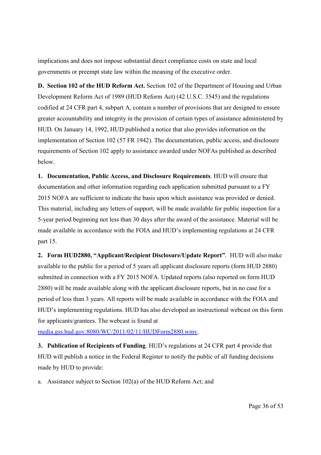implications and does not impose substantial direct compliance costs on state and local governments or preempt state law within the meaning of the executive order.

**D. Section 102 of the HUD Reform Act.** Section 102 of the Department of Housing and Urban Development Reform Act of 1989 (HUD Reform Act) (42 U.S.C. 3545) and the regulations codified at 24 CFR part 4, subpart A, contain a number of provisions that are designed to ensure greater accountability and integrity in the provision of certain types of assistance administered by HUD. On January 14, 1992, HUD published a notice that also provides information on the implementation of Section 102 (57 FR 1942). The documentation, public access, and disclosure requirements of Section 102 apply to assistance awarded under NOFAs published as described below.

**1. Documentation, Public Access, and Disclosure Requirements**. HUD will ensure that documentation and other information regarding each application submitted pursuant to a FY 2015 NOFA are sufficient to indicate the basis upon which assistance was provided or denied. This material, including any letters of support, will be made available for public inspection for a 5-year period beginning not less than 30 days after the award of the assistance. Material will be made available in accordance with the FOIA and HUD's implementing regulations at 24 CFR part 15.

**2. Form HUD2880, "Applicant/Recipient Disclosure/Update Report"**. HUD will also make available to the public for a period of 5 years all applicant disclosure reports (form HUD 2880) submitted in connection with a FY 2015 NOFA. Updated reports (also reported on form HUD 2880) will be made available along with the applicant disclosure reports, but in no case for a period of less than 3 years. All reports will be made available in accordance with the FOIA and HUD's implementing regulations. HUD has also developed an instructional webcast on this form for applicants/grantees. The webcast is found at

[media.gss.hud.gov:8080/WC/2011/02/11/HUDForm2880.wmv.](http://media.gss.hud.gov:8080/WC/2011/02/11/HUDForm2880.wmv)

**3. Publication of Recipients of Funding**. HUD's regulations at 24 CFR part 4 provide that HUD will publish a notice in the Federal Register to notify the public of all funding decisions made by HUD to provide:

a. Assistance subject to Section 102(a) of the HUD Reform Act; and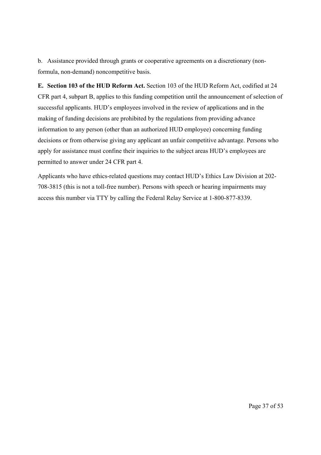b. Assistance provided through grants or cooperative agreements on a discretionary (nonformula, non-demand) noncompetitive basis.

**E. Section 103 of the HUD Reform Act.** Section 103 of the HUD Reform Act, codified at 24 CFR part 4, subpart B, applies to this funding competition until the announcement of selection of successful applicants. HUD's employees involved in the review of applications and in the making of funding decisions are prohibited by the regulations from providing advance information to any person (other than an authorized HUD employee) concerning funding decisions or from otherwise giving any applicant an unfair competitive advantage. Persons who apply for assistance must confine their inquiries to the subject areas HUD's employees are permitted to answer under 24 CFR part 4.

Applicants who have ethics-related questions may contact HUD's Ethics Law Division at 202- 708-3815 (this is not a toll-free number). Persons with speech or hearing impairments may access this number via TTY by calling the Federal Relay Service at 1-800-877-8339.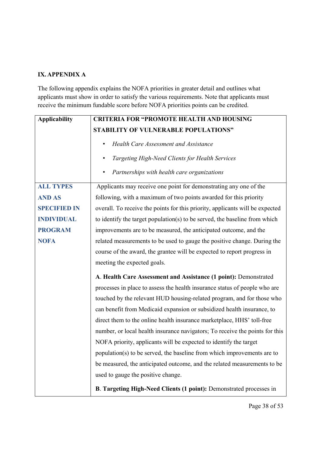# **IX. APPENDIX A**

The following appendix explains the NOFA priorities in greater detail and outlines what applicants must show in order to satisfy the various requirements. Note that applicants must receive the minimum fundable score before NOFA priorities points can be credited.

| <b>Applicability</b> | <b>CRITERIA FOR "PROMOTE HEALTH AND HOUSING</b>                               |
|----------------------|-------------------------------------------------------------------------------|
|                      | STABILITY OF VULNERABLE POPULATIONS"                                          |
|                      | Health Care Assessment and Assistance<br>٠                                    |
|                      | Targeting High-Need Clients for Health Services                               |
|                      | Partnerships with health care organizations                                   |
| <b>ALL TYPES</b>     | Applicants may receive one point for demonstrating any one of the             |
| <b>AND AS</b>        | following, with a maximum of two points awarded for this priority             |
| <b>SPECIFIED IN</b>  | overall. To receive the points for this priority, applicants will be expected |
| <b>INDIVIDUAL</b>    | to identify the target population(s) to be served, the baseline from which    |
| <b>PROGRAM</b>       | improvements are to be measured, the anticipated outcome, and the             |
| <b>NOFA</b>          | related measurements to be used to gauge the positive change. During the      |
|                      | course of the award, the grantee will be expected to report progress in       |
|                      | meeting the expected goals.                                                   |
|                      | A. Health Care Assessment and Assistance (1 point): Demonstrated              |
|                      | processes in place to assess the health insurance status of people who are    |
|                      | touched by the relevant HUD housing-related program, and for those who        |
|                      | can benefit from Medicaid expansion or subsidized health insurance, to        |
|                      | direct them to the online health insurance marketplace, HHS' toll-free        |
|                      | number, or local health insurance navigators; To receive the points for this  |
|                      | NOFA priority, applicants will be expected to identify the target             |
|                      | population(s) to be served, the baseline from which improvements are to       |
|                      | be measured, the anticipated outcome, and the related measurements to be      |
|                      | used to gauge the positive change.                                            |
|                      | B. Targeting High-Need Clients (1 point): Demonstrated processes in           |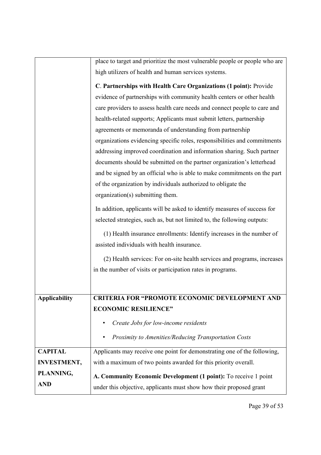|                    | place to target and prioritize the most vulnerable people or people who are |
|--------------------|-----------------------------------------------------------------------------|
|                    |                                                                             |
|                    | high utilizers of health and human services systems.                        |
|                    | C. Partnerships with Health Care Organizations (1 point): Provide           |
|                    | evidence of partnerships with community health centers or other health      |
|                    | care providers to assess health care needs and connect people to care and   |
|                    | health-related supports; Applicants must submit letters, partnership        |
|                    | agreements or memoranda of understanding from partnership                   |
|                    | organizations evidencing specific roles, responsibilities and commitments   |
|                    | addressing improved coordination and information sharing. Such partner      |
|                    | documents should be submitted on the partner organization's letterhead      |
|                    | and be signed by an official who is able to make commitments on the part    |
|                    | of the organization by individuals authorized to obligate the               |
|                    | organization(s) submitting them.                                            |
|                    | In addition, applicants will be asked to identify measures of success for   |
|                    | selected strategies, such as, but not limited to, the following outputs:    |
|                    | (1) Health insurance enrollments: Identify increases in the number of       |
|                    | assisted individuals with health insurance.                                 |
|                    | (2) Health services: For on-site health services and programs, increases    |
|                    | in the number of visits or participation rates in programs.                 |
|                    |                                                                             |
| Applicability      | <b>CRITERIA FOR "PROMOTE ECONOMIC DEVELOPMENT AND</b>                       |
|                    | <b>ECONOMIC RESILIENCE"</b>                                                 |
|                    | Create Jobs for low-income residents<br>٠                                   |
|                    | Proximity to Amenities/Reducing Transportation Costs                        |
| <b>CAPITAL</b>     | Applicants may receive one point for demonstrating one of the following,    |
| <b>INVESTMENT,</b> | with a maximum of two points awarded for this priority overall.             |
| PLANNING,          |                                                                             |
| <b>AND</b>         | A. Community Economic Development (1 point): To receive 1 point             |
|                    | under this objective, applicants must show how their proposed grant         |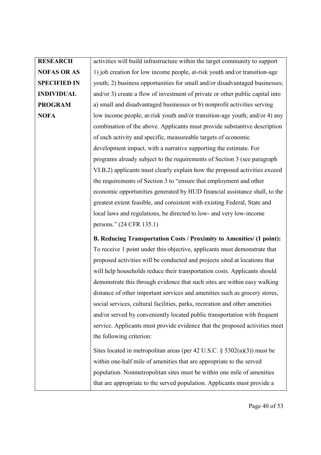# **RESEARCH NOFAS OR AS SPECIFIED IN INDIVIDUAL PROGRAM NOFA**

activities will build infrastructure within the target community to support 1) job creation for low income people, at-risk youth and/or transition-age youth; 2) business opportunities for small and/or disadvantaged businesses; and/or 3) create a flow of investment of private or other public capital into a) small and disadvantaged businesses or b) nonprofit activities serving low income people, at-risk youth and/or transition-age youth; and/or 4) any combination of the above. Applicants must provide substantive description of each activity and specific, measureable targets of economic development impact, with a narrative supporting the estimate. For programs already subject to the requirements of Section 3 (see paragraph VI.B.2) applicants must clearly explain how the proposed activities exceed the requirements of Section 3 to "ensure that employment and other economic opportunities generated by HUD financial assistance shall, to the greatest extent feasible, and consistent with existing Federal, State and local laws and regulations, be directed to low- and very low-income persons." (24 CFR 135.1)

**B. Reducing Transportation Costs / Proximity to Amenities/ (1 point):** To receive 1 point under this objective, applicants must demonstrate that proposed activities will be conducted and projects sited at locations that will help households reduce their transportation costs. Applicants should demonstrate this through evidence that such sites are within easy walking distance of other important services and amenities such as grocery stores, social services, cultural facilities, parks, recreation and other amenities and/or served by conveniently located public transportation with frequent service. Applicants must provide evidence that the proposed activities meet the following criterion:

Sites located in metropolitan areas (per 42 U.S.C. § 5302(a)(3)) must be within one-half mile of amenities that are appropriate to the served population. Nonmetropolitan sites must be within one mile of amenities that are appropriate to the served population. Applicants must provide a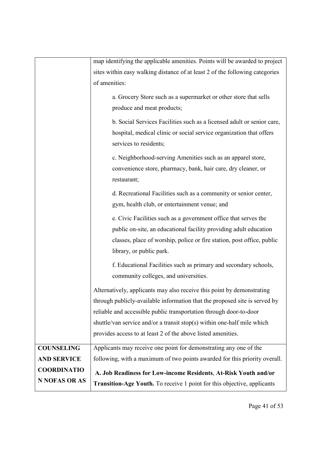|                    | map identifying the applicable amenities. Points will be awarded to project    |
|--------------------|--------------------------------------------------------------------------------|
|                    | sites within easy walking distance of at least 2 of the following categories   |
|                    | of amenities:                                                                  |
|                    | a. Grocery Store such as a supermarket or other store that sells               |
|                    | produce and meat products;                                                     |
|                    | b. Social Services Facilities such as a licensed adult or senior care,         |
|                    | hospital, medical clinic or social service organization that offers            |
|                    | services to residents;                                                         |
|                    | c. Neighborhood-serving Amenities such as an apparel store,                    |
|                    | convenience store, pharmacy, bank, hair care, dry cleaner, or                  |
|                    | restaurant;                                                                    |
|                    | d. Recreational Facilities such as a community or senior center,               |
|                    | gym, health club, or entertainment venue; and                                  |
|                    | e. Civic Facilities such as a government office that serves the                |
|                    | public on-site, an educational facility providing adult education              |
|                    | classes, place of worship, police or fire station, post office, public         |
|                    | library, or public park.                                                       |
|                    | f. Educational Facilities such as primary and secondary schools,               |
|                    | community colleges, and universities.                                          |
|                    | Alternatively, applicants may also receive this point by demonstrating         |
|                    | through publicly-available information that the proposed site is served by     |
|                    | reliable and accessible public transportation through door-to-door             |
|                    | shuttle/van service and/or a transit stop(s) within one-half mile which        |
|                    | provides access to at least 2 of the above listed amenities.                   |
| <b>COUNSELING</b>  | Applicants may receive one point for demonstrating any one of the              |
| <b>AND SERVICE</b> | following, with a maximum of two points awarded for this priority overall.     |
| <b>COORDINATIO</b> | A. Job Readiness for Low-income Residents, At-Risk Youth and/or                |
| N NOFAS OR AS      | <b>Transition-Age Youth.</b> To receive 1 point for this objective, applicants |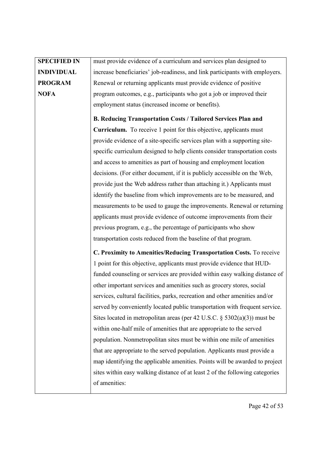| <b>SPECIFIED IN</b> | must provide evidence of a curriculum and services plan designed to          |
|---------------------|------------------------------------------------------------------------------|
| <b>INDIVIDUAL</b>   | increase beneficiaries' job-readiness, and link participants with employers. |
| <b>PROGRAM</b>      | Renewal or returning applicants must provide evidence of positive            |
| <b>NOFA</b>         | program outcomes, e.g., participants who got a job or improved their         |
|                     | employment status (increased income or benefits).                            |
|                     | <b>B. Reducing Transportation Costs / Tailored Services Plan and</b>         |
|                     | <b>Curriculum.</b> To receive 1 point for this objective, applicants must    |
|                     | provide evidence of a site-specific services plan with a supporting site-    |
|                     | specific curriculum designed to help clients consider transportation costs   |
|                     | and access to amenities as part of housing and employment location           |
|                     | decisions. (For either document, if it is publicly accessible on the Web,    |
|                     | provide just the Web address rather than attaching it.) Applicants must      |
|                     | identify the baseline from which improvements are to be measured, and        |
|                     | measurements to be used to gauge the improvements. Renewal or returning      |
|                     | applicants must provide evidence of outcome improvements from their          |
|                     | previous program, e.g., the percentage of participants who show              |
|                     | transportation costs reduced from the baseline of that program.              |
|                     | C. Proximity to Amenities/Reducing Transportation Costs. To receive          |
|                     | 1 point for this objective, applicants must provide evidence that HUD-       |
|                     | funded counseling or services are provided within easy walking distance of   |
|                     | other important services and amenities such as grocery stores, social        |
|                     | services, cultural facilities, parks, recreation and other amenities and/or  |
|                     | served by conveniently located public transportation with frequent service.  |
|                     | Sites located in metropolitan areas (per 42 U.S.C. $\S$ 5302(a)(3)) must be  |
|                     | within one-half mile of amenities that are appropriate to the served         |
|                     | population. Nonmetropolitan sites must be within one mile of amenities       |
|                     | that are appropriate to the served population. Applicants must provide a     |
|                     | map identifying the applicable amenities. Points will be awarded to project  |
|                     | sites within easy walking distance of at least 2 of the following categories |
|                     | of amenities:                                                                |
|                     |                                                                              |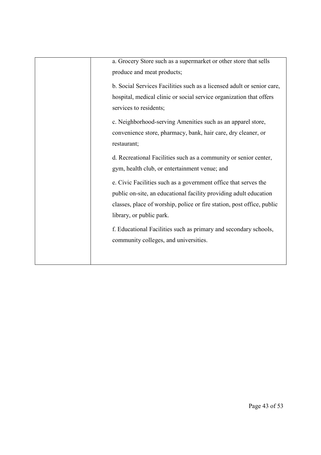| a. Grocery Store such as a supermarket or other store that sells<br>produce and meat products;                                                                                                                                                                                                                         |
|------------------------------------------------------------------------------------------------------------------------------------------------------------------------------------------------------------------------------------------------------------------------------------------------------------------------|
| b. Social Services Facilities such as a licensed adult or senior care,<br>hospital, medical clinic or social service organization that offers<br>services to residents;<br>c. Neighborhood-serving Amenities such as an apparel store,<br>convenience store, pharmacy, bank, hair care, dry cleaner, or<br>restaurant; |
| d. Recreational Facilities such as a community or senior center,<br>gym, health club, or entertainment venue; and                                                                                                                                                                                                      |
| e. Civic Facilities such as a government office that serves the<br>public on-site, an educational facility providing adult education<br>classes, place of worship, police or fire station, post office, public<br>library, or public park.                                                                             |
| f. Educational Facilities such as primary and secondary schools,<br>community colleges, and universities.                                                                                                                                                                                                              |
|                                                                                                                                                                                                                                                                                                                        |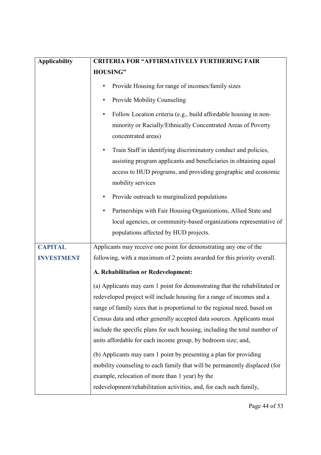| <b>Applicability</b> | <b>CRITERIA FOR "AFFIRMATIVELY FURTHERING FAIR</b>                                                                                                                                                                                                                                                                                                                                                                                                         |
|----------------------|------------------------------------------------------------------------------------------------------------------------------------------------------------------------------------------------------------------------------------------------------------------------------------------------------------------------------------------------------------------------------------------------------------------------------------------------------------|
|                      | <b>HOUSING"</b>                                                                                                                                                                                                                                                                                                                                                                                                                                            |
|                      | Provide Housing for range of incomes/family sizes                                                                                                                                                                                                                                                                                                                                                                                                          |
|                      | Provide Mobility Counseling                                                                                                                                                                                                                                                                                                                                                                                                                                |
|                      | Follow Location criteria (e.g., build affordable housing in non-<br>$\bullet$<br>minority or Racially/Ethnically Concentrated Areas of Poverty<br>concentrated areas)                                                                                                                                                                                                                                                                                      |
|                      | Train Staff in identifying discriminatory conduct and policies,<br>$\bullet$<br>assisting program applicants and beneficiaries in obtaining equal<br>access to HUD programs, and providing geographic and economic<br>mobility services                                                                                                                                                                                                                    |
|                      | Provide outreach to marginalized populations                                                                                                                                                                                                                                                                                                                                                                                                               |
|                      | Partnerships with Fair Housing Organizations, Allied State and<br>local agencies, or community-based organizations representative of<br>populations affected by HUD projects.                                                                                                                                                                                                                                                                              |
| <b>CAPITAL</b>       | Applicants may receive one point for demonstrating any one of the                                                                                                                                                                                                                                                                                                                                                                                          |
| <b>INVESTMENT</b>    | following, with a maximum of 2 points awarded for this priority overall.                                                                                                                                                                                                                                                                                                                                                                                   |
|                      | A. Rehabilitation or Redevelopment:                                                                                                                                                                                                                                                                                                                                                                                                                        |
|                      | (a) Applicants may earn 1 point for demonstrating that the rehabilitated or<br>redeveloped project will include housing for a range of incomes and a<br>range of family sizes that is proportional to the regional need, based on<br>Census data and other generally accepted data sources. Applicants must<br>include the specific plans for such housing, including the total number of<br>units affordable for each income group, by bedroom size; and, |
|                      | (b) Applicants may earn 1 point by presenting a plan for providing<br>mobility counseling to each family that will be permanently displaced (for<br>example, relocation of more than 1 year) by the<br>redevelopment/rehabilitation activities, and, for each such family,                                                                                                                                                                                 |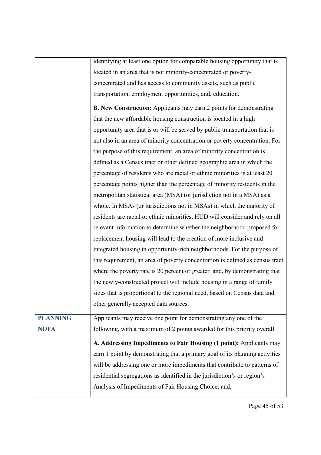|                 | identifying at least one option for comparable housing opportunity that is    |
|-----------------|-------------------------------------------------------------------------------|
|                 | located in an area that is not minority-concentrated or poverty-              |
|                 | concentrated and has access to community assets, such as public               |
|                 | transportation, employment opportunities, and, education.                     |
|                 |                                                                               |
|                 | <b>B. New Construction:</b> Applicants may earn 2 points for demonstrating    |
|                 | that the new affordable housing construction is located in a high             |
|                 | opportunity area that is or will be served by public transportation that is   |
|                 | not also in an area of minority concentration or poverty concentration. For   |
|                 | the purpose of this requirement, an area of minority concentration is         |
|                 | defined as a Census tract or other defined geographic area in which the       |
|                 | percentage of residents who are racial or ethnic minorities is at least 20    |
|                 | percentage points higher than the percentage of minority residents in the     |
|                 | metropolitan statistical area (MSA) (or jurisdiction not in a MSA) as a       |
|                 | whole. In MSAs (or jurisdictions not in MSAs) in which the majority of        |
|                 | residents are racial or ethnic minorities, HUD will consider and rely on all  |
|                 | relevant information to determine whether the neighborhood proposed for       |
|                 | replacement housing will lead to the creation of more inclusive and           |
|                 | integrated housing in opportunity-rich neighborhoods. For the purpose of      |
|                 | this requirement, an area of poverty concentration is defined as census tract |
|                 | where the poverty rate is 20 percent or greater and, by demonstrating that    |
|                 | the newly-constructed project will include housing in a range of family       |
|                 | sizes that is proportional to the regional need, based on Census data and     |
|                 | other generally accepted data sources.                                        |
| <b>PLANNING</b> | Applicants may receive one point for demonstrating any one of the             |
| <b>NOFA</b>     | following, with a maximum of 2 points awarded for this priority overall.      |
|                 |                                                                               |
|                 | A. Addressing Impediments to Fair Housing (1 point): Applicants may           |
|                 | earn 1 point by demonstrating that a primary goal of its planning activities  |
|                 | will be addressing one or more impediments that contribute to patterns of     |
|                 | residential segregations as identified in the jurisdiction's or region's      |
|                 | Analysis of Impediments of Fair Housing Choice; and,                          |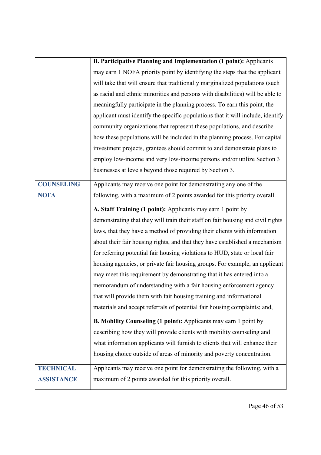|                   | <b>B. Participative Planning and Implementation (1 point):</b> Applicants       |
|-------------------|---------------------------------------------------------------------------------|
|                   | may earn 1 NOFA priority point by identifying the steps that the applicant      |
|                   | will take that will ensure that traditionally marginalized populations (such    |
|                   | as racial and ethnic minorities and persons with disabilities) will be able to  |
|                   | meaningfully participate in the planning process. To earn this point, the       |
|                   | applicant must identify the specific populations that it will include, identify |
|                   | community organizations that represent these populations, and describe          |
|                   | how these populations will be included in the planning process. For capital     |
|                   | investment projects, grantees should commit to and demonstrate plans to         |
|                   | employ low-income and very low-income persons and/or utilize Section 3          |
|                   | businesses at levels beyond those required by Section 3.                        |
| <b>COUNSELING</b> | Applicants may receive one point for demonstrating any one of the               |
| <b>NOFA</b>       | following, with a maximum of 2 points awarded for this priority overall.        |
|                   | A. Staff Training (1 point): Applicants may earn 1 point by                     |
|                   | demonstrating that they will train their staff on fair housing and civil rights |
|                   | laws, that they have a method of providing their clients with information       |
|                   | about their fair housing rights, and that they have established a mechanism     |
|                   |                                                                                 |
|                   | for referring potential fair housing violations to HUD, state or local fair     |
|                   | housing agencies, or private fair housing groups. For example, an applicant     |
|                   | may meet this requirement by demonstrating that it has entered into a           |
|                   | memorandum of understanding with a fair housing enforcement agency              |
|                   | that will provide them with fair housing training and informational             |
|                   | materials and accept referrals of potential fair housing complaints; and,       |
|                   | <b>B. Mobility Counseling (1 point):</b> Applicants may earn 1 point by         |
|                   | describing how they will provide clients with mobility counseling and           |
|                   | what information applicants will furnish to clients that will enhance their     |
|                   | housing choice outside of areas of minority and poverty concentration.          |
| <b>TECHNICAL</b>  | Applicants may receive one point for demonstrating the following, with a        |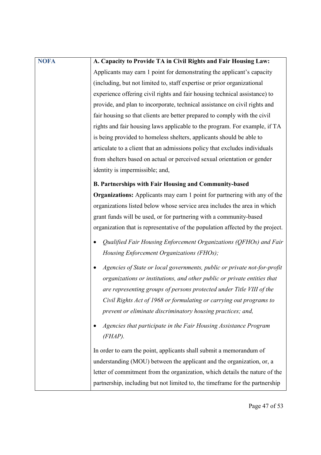| <b>NOFA</b> | A. Capacity to Provide TA in Civil Rights and Fair Housing Law:                  |
|-------------|----------------------------------------------------------------------------------|
|             | Applicants may earn 1 point for demonstrating the applicant's capacity           |
|             | (including, but not limited to, staff expertise or prior organizational          |
|             | experience offering civil rights and fair housing technical assistance) to       |
|             | provide, and plan to incorporate, technical assistance on civil rights and       |
|             | fair housing so that clients are better prepared to comply with the civil        |
|             | rights and fair housing laws applicable to the program. For example, if TA       |
|             | is being provided to homeless shelters, applicants should be able to             |
|             | articulate to a client that an admissions policy that excludes individuals       |
|             | from shelters based on actual or perceived sexual orientation or gender          |
|             | identity is impermissible; and,                                                  |
|             | <b>B. Partnerships with Fair Housing and Community-based</b>                     |
|             | <b>Organizations:</b> Applicants may earn 1 point for partnering with any of the |
|             | organizations listed below whose service area includes the area in which         |
|             | grant funds will be used, or for partnering with a community-based               |
|             | organization that is representative of the population affected by the project.   |
|             | Qualified Fair Housing Enforcement Organizations (QFHOs) and Fair                |
|             | Housing Enforcement Organizations (FHOs);                                        |
|             | Agencies of State or local governments, public or private not-for-profit         |
|             | organizations or institutions, and other public or private entities that         |
|             | are representing groups of persons protected under Title VIII of the             |
|             | Civil Rights Act of 1968 or formulating or carrying out programs to              |
|             | prevent or eliminate discriminatory housing practices; and,                      |
|             | Agencies that participate in the Fair Housing Assistance Program<br>$(FHAP)$ .   |
|             |                                                                                  |
|             | In order to earn the point, applicants shall submit a memorandum of              |
|             | understanding (MOU) between the applicant and the organization, or, a            |
|             | letter of commitment from the organization, which details the nature of the      |
|             | partnership, including but not limited to, the timeframe for the partnership     |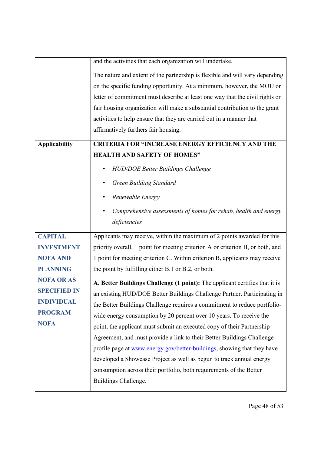|                      | and the activities that each organization will undertake.                      |
|----------------------|--------------------------------------------------------------------------------|
|                      | The nature and extent of the partnership is flexible and will vary depending   |
|                      | on the specific funding opportunity. At a minimum, however, the MOU or         |
|                      | letter of commitment must describe at least one way that the civil rights or   |
|                      | fair housing organization will make a substantial contribution to the grant    |
|                      | activities to help ensure that they are carried out in a manner that           |
|                      | affirmatively furthers fair housing.                                           |
| <b>Applicability</b> | <b>CRITERIA FOR "INCREASE ENERGY EFFICIENCY AND THE</b>                        |
|                      | <b>HEALTH AND SAFETY OF HOMES"</b>                                             |
|                      | <b>HUD/DOE Better Buildings Challenge</b>                                      |
|                      | <b>Green Building Standard</b>                                                 |
|                      | Renewable Energy                                                               |
|                      | Comprehensive assessments of homes for rehab, health and energy                |
|                      | deficiencies                                                                   |
| <b>CAPITAL</b>       | Applicants may receive, within the maximum of 2 points awarded for this        |
| <b>INVESTMENT</b>    | priority overall, 1 point for meeting criterion A or criterion B, or both, and |
| <b>NOFA AND</b>      | 1 point for meeting criterion C. Within criterion B, applicants may receive    |
| <b>PLANNING</b>      | the point by fulfilling either B.1 or B.2, or both.                            |
| <b>NOFA OR AS</b>    | A. Better Buildings Challenge (1 point): The applicant certifies that it is    |
| <b>SPECIFIED IN</b>  | an existing HUD/DOE Better Buildings Challenge Partner. Participating in       |
| <b>INDIVIDUAL</b>    | the Better Buildings Challenge requires a commitment to reduce portfolio-      |
| <b>PROGRAM</b>       | wide energy consumption by 20 percent over 10 years. To receive the            |
| <b>NOFA</b>          | point, the applicant must submit an executed copy of their Partnership         |
|                      | Agreement, and must provide a link to their Better Buildings Challenge         |
|                      | profile page at www.energy.gov/better-buildings, showing that they have        |
|                      | developed a Showcase Project as well as begun to track annual energy           |
|                      | consumption across their portfolio, both requirements of the Better            |
|                      | Buildings Challenge.                                                           |
|                      |                                                                                |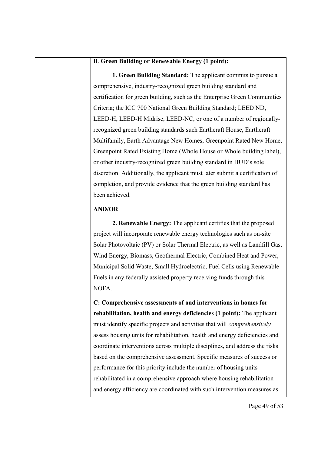# **B**. **Green Building or Renewable Energy (1 point):**

**1. Green Building Standard:** The applicant commits to pursue a comprehensive, industry-recognized green building standard and certification for green building, such as the Enterprise Green Communities Criteria; the ICC 700 National Green Building Standard; LEED ND, LEED-H, LEED-H Midrise, LEED-NC, or one of a number of regionallyrecognized green building standards such Earthcraft House, Earthcraft Multifamily, Earth Advantage New Homes, Greenpoint Rated New Home, Greenpoint Rated Existing Home (Whole House or Whole building label), or other industry-recognized green building standard in HUD's sole discretion. Additionally, the applicant must later submit a certification of completion, and provide evidence that the green building standard has been achieved.

# **AND/OR**

**2. Renewable Energy:** The applicant certifies that the proposed project will incorporate renewable energy technologies such as on-site Solar Photovoltaic (PV) or Solar Thermal Electric, as well as Landfill Gas, Wind Energy, Biomass, Geothermal Electric, Combined Heat and Power, Municipal Solid Waste, Small Hydroelectric, Fuel Cells using Renewable Fuels in any federally assisted property receiving funds through this NOFA.

**C: Comprehensive assessments of and interventions in homes for rehabilitation, health and energy deficiencies (1 point):** The applicant must identify specific projects and activities that will *comprehensively* assess housing units for rehabilitation, health and energy deficiencies and coordinate interventions across multiple disciplines, and address the risks based on the comprehensive assessment. Specific measures of success or performance for this priority include the number of housing units rehabilitated in a comprehensive approach where housing rehabilitation and energy efficiency are coordinated with such intervention measures as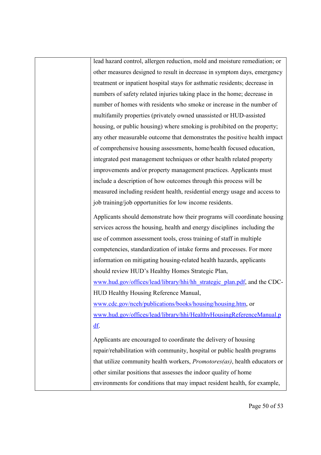lead hazard control, allergen reduction, mold and moisture remediation; or other measures designed to result in decrease in symptom days, emergency treatment or inpatient hospital stays for asthmatic residents; decrease in numbers of safety related injuries taking place in the home; decrease in number of homes with residents who smoke or increase in the number of multifamily properties (privately owned unassisted or HUD-assisted housing, or public housing) where smoking is prohibited on the property; any other measurable outcome that demonstrates the positive health impact of comprehensive housing assessments, home/health focused education, integrated pest management techniques or other health related property improvements and/or property management practices. Applicants must include a description of how outcomes through this process will be measured including resident health, residential energy usage and access to job training/job opportunities for low income residents.

Applicants should demonstrate how their programs will coordinate housing services across the housing, health and energy disciplines including the use of common assessment tools, cross training of staff in multiple competencies, standardization of intake forms and processes. For more information on mitigating housing-related health hazards, applicants should review HUD's Healthy Homes Strategic Plan,

www.hud.gov/offices/lead/library/hhi/hh\_strategic\_plan.pdf, and the CDC-HUD Healthy Housing Reference Manual,

www.cdc.gov/nceh/publications/books/housing/housing.htm, or [www.hud.gov/offices/lead/library/hhi/HealthyHousingReferenceManual.p](http://www.hud.gov/offices/lead/library/hhi/HealthyHousingReferenceManual.pdf) [df.](http://www.hud.gov/offices/lead/library/hhi/HealthyHousingReferenceManual.pdf)

Applicants are encouraged to coordinate the delivery of housing repair/rehabilitation with community, hospital or public health programs that utilize community health workers, *Promotores(as)*, health educators or other similar positions that assesses the indoor quality of home environments for conditions that may impact resident health, for example,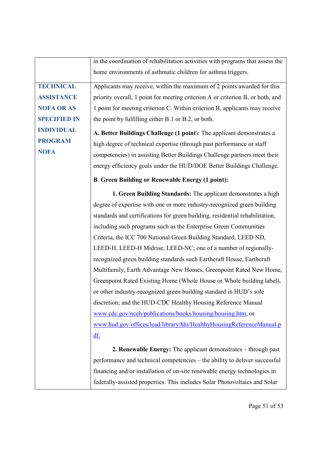|                     | in the coordination of rehabilitation activities with programs that assess the |
|---------------------|--------------------------------------------------------------------------------|
|                     | home environments of asthmatic children for asthma triggers.                   |
| <b>TECHNICAL</b>    | Applicants may receive, within the maximum of 2 points awarded for this        |
| <b>ASSISTANCE</b>   | priority overall, 1 point for meeting criterion A or criterion B, or both, and |
| <b>NOFA OR AS</b>   | 1 point for meeting criterion C. Within criterion B, applicants may receive    |
| <b>SPECIFIED IN</b> | the point by fulfilling either B.1 or B.2, or both.                            |
| <b>INDIVIDUAL</b>   | A. Better Buildings Challenge (1 point): The applicant demonstrates a          |
| <b>PROGRAM</b>      | high degree of technical expertise (through past performance or staff          |
| <b>NOFA</b>         | competencies) in assisting Better Buildings Challenge partners meet their      |
|                     | energy efficiency goals under the HUD/DOE Better Buildings Challenge.          |
|                     | <b>B. Green Building or Renewable Energy (1 point):</b>                        |
|                     | 1. Green Building Standards: The applicant demonstrates a high                 |
|                     | degree of expertise with one or more industry-recognized green building        |
|                     | standards and certifications for green building, residential rehabilitation,   |
|                     | including such programs such as the Enterprise Green Communities               |
|                     | Criteria, the ICC 700 National Green Building Standard, LEED ND,               |
|                     | LEED-H, LEED-H Midrise, LEED-NC; one of a number of regionally-                |
|                     | recognized green building standards such Earthcraft House, Earthcraft          |
|                     | Multifamily, Earth Advantage New Homes, Greenpoint Rated New Home,             |
|                     | Greenpoint Rated Existing Home (Whole House or Whole building label),          |
|                     | or other industry-recognized green building standard in HUD's sole             |
|                     | discretion; and the HUD-CDC Healthy Housing Reference Manual                   |
|                     | www.cdc.gov/nceh/publications/books/housing/housing.htm, or                    |
|                     | www.hud.gov/offices/lead/library/hhi/HealthyHousingReferenceManual.p           |
|                     | df.                                                                            |
|                     | <b>2. Renewable Energy:</b> The applicant demonstrates – through past          |
|                     | performance and technical competencies – the ability to deliver successful     |
|                     | financing and/or installation of on-site renewable energy technologies in      |
|                     | federally-assisted properties. This includes Solar Photovoltaics and Solar     |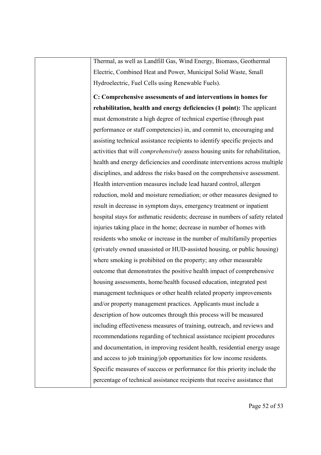Thermal, as well as Landfill Gas, Wind Energy, Biomass, Geothermal Electric, Combined Heat and Power, Municipal Solid Waste, Small Hydroelectric, Fuel Cells using Renewable Fuels).

**C: Comprehensive assessments of and interventions in homes for rehabilitation, health and energy deficiencies (1 point):** The applicant must demonstrate a high degree of technical expertise (through past performance or staff competencies) in, and commit to, encouraging and assisting technical assistance recipients to identify specific projects and activities that will *comprehensively* assess housing units for rehabilitation, health and energy deficiencies and coordinate interventions across multiple disciplines, and address the risks based on the comprehensive assessment. Health intervention measures include lead hazard control, allergen reduction, mold and moisture remediation; or other measures designed to result in decrease in symptom days, emergency treatment or inpatient hospital stays for asthmatic residents; decrease in numbers of safety related injuries taking place in the home; decrease in number of homes with residents who smoke or increase in the number of multifamily properties (privately owned unassisted or HUD-assisted housing, or public housing) where smoking is prohibited on the property; any other measurable outcome that demonstrates the positive health impact of comprehensive housing assessments, home/health focused education, integrated pest management techniques or other health related property improvements and/or property management practices. Applicants must include a description of how outcomes through this process will be measured including effectiveness measures of training, outreach, and reviews and recommendations regarding of technical assistance recipient procedures and documentation, in improving resident health, residential energy usage and access to job training/job opportunities for low income residents. Specific measures of success or performance for this priority include the percentage of technical assistance recipients that receive assistance that